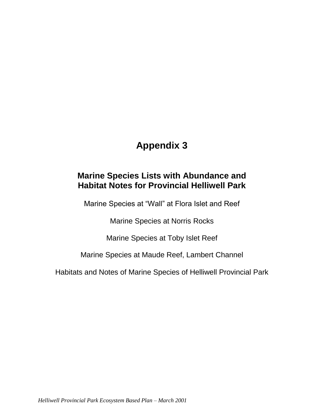# **Appendix 3**

## **Marine Species Lists with Abundance and Habitat Notes for Provincial Helliwell Park**

Marine Species at "Wall" at Flora Islet and Reef

Marine Species at Norris Rocks

Marine Species at Toby Islet Reef

Marine Species at Maude Reef, Lambert Channel

Habitats and Notes of Marine Species of Helliwell Provincial Park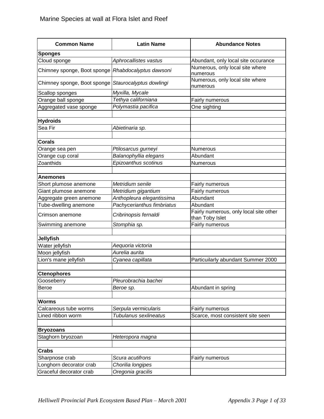| <b>Common Name</b>          | <b>Latin Name</b>          | <b>Abundance Notes</b>                                    |  |
|-----------------------------|----------------------------|-----------------------------------------------------------|--|
| <b>Sponges</b>              |                            |                                                           |  |
| Cloud sponge                | Aphrocallistes vastus      | Abundant, only local site occurance                       |  |
| Chimney sponge, Boot sponge | Rhabdocalyptus dawsoni     | Numerous, only local site where<br>numerous               |  |
| Chimney sponge, Boot sponge | Staurocalyptus dowlingi    | Numerous, only local site where<br>numerous               |  |
| Scallop sponges             | Myxilla, Mycale            |                                                           |  |
| Orange ball sponge          | Tethya californiana        | Fairly numerous                                           |  |
| Aggregated vase sponge      | Polymastia pacifica        | One sighting                                              |  |
|                             |                            |                                                           |  |
| <b>Hydroids</b>             |                            |                                                           |  |
| Sea Fir                     | Abietinaria sp.            |                                                           |  |
|                             |                            |                                                           |  |
| <b>Corals</b>               |                            |                                                           |  |
| Orange sea pen              | Ptilosarcus gurneyi        | Numerous                                                  |  |
| Orange cup coral            | Balanophyllia elegans      | Abundant                                                  |  |
| Zoanthids                   | Epizoanthus scotinus       | Numerous                                                  |  |
| Anemones                    |                            |                                                           |  |
| Short plumose anemone       | Metridium senile           | Fairly numerous                                           |  |
| Giant plumose anemone       | Metridium gigantium        | Fairly numerous                                           |  |
| Aggregate green anemone     | Anthopleura elegantissima  | Abundant                                                  |  |
| Tube-dwelling anemone       | Pachycerianthus fimbriatus | Abundant                                                  |  |
| Crimson anemone             | Cribrinopsis fernaldi      | Fairly numerous, only local site other<br>than Toby Islet |  |
| Swimming anemone            | Stomphia sp.               | Fairly numerous                                           |  |
| <b>Jellyfish</b>            |                            |                                                           |  |
| Water jellyfish             | Aequoria victoria          |                                                           |  |
| Moon jellyfish              | Aurelia aurita             |                                                           |  |
| Lion's mane jellyfish       | Cyanea capillata           | Particuilarly abundant Summer 2000                        |  |
|                             |                            |                                                           |  |
| <b>Ctenophores</b>          |                            |                                                           |  |
| Gooseberry                  | Pleurobrachia bachei       |                                                           |  |
| Beroe                       | Beroe sp.                  | Abundant in spring                                        |  |
|                             |                            |                                                           |  |
| <b>Worms</b>                |                            |                                                           |  |
| Calcareous tube worms       | Serpula vermicularis       | Fairly numerous                                           |  |
| Lined ribbon worm           | Tubulanus sexlineatus      | Scarce, most consistent site seen                         |  |
| <b>Bryozoans</b>            |                            |                                                           |  |
| Staghorn bryozoan           | Heteropora magna           |                                                           |  |
|                             |                            |                                                           |  |
| <b>Crabs</b>                |                            |                                                           |  |
| Sharpnose crab              | Scura acutifrons           | Fairly numerous                                           |  |
| Longhorn decorator crab     | Chorilia longipes          |                                                           |  |
| Graceful decorator crab     | Oregonia gracilis          |                                                           |  |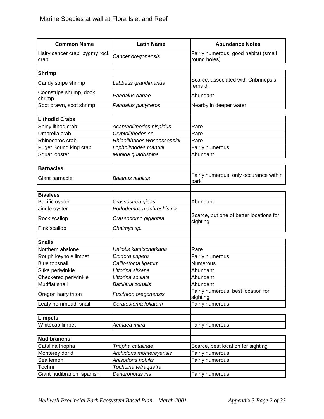| <b>Common Name</b>                    | <b>Latin Name</b>             | <b>Abundance Notes</b>                               |  |
|---------------------------------------|-------------------------------|------------------------------------------------------|--|
| Hairy cancer crab, pygmy rock<br>crab | Cancer oregonensis            | Fairly numerous, good habitat (small<br>round holes) |  |
| <b>Shrimp</b>                         |                               |                                                      |  |
|                                       |                               | Scarce, associated with Cribrinopsis                 |  |
| Candy stripe shrimp                   | Lebbeus grandimanus           | fernaldi                                             |  |
| Coonstripe shrimp, dock<br>shrimp     | Pandalus danae                | Abundant                                             |  |
| Spot prawn, spot shrimp               | Pandalus platyceros           | Nearby in deeper water                               |  |
| <b>Lithodid Crabs</b>                 |                               |                                                      |  |
| Spiny lithod crab                     | Acantholithodes hispidus      | Rare                                                 |  |
| Umbrella crab                         | Cryptolithodes sp.            | Rare                                                 |  |
| Rhinoceros crab                       | Rhinolithodes wosnessenskii   | Rare                                                 |  |
| Puget Sound king crab                 | Lopholithodes mandtii         | Fairly numerous                                      |  |
| Squat lobster                         | Munida quadrispina            | Abundant                                             |  |
|                                       |                               |                                                      |  |
| <b>Barnacles</b>                      |                               |                                                      |  |
| Giant barnacle                        | Balanus nubilus               | Fairly numerous, only occurance within<br>park       |  |
| <b>Bivalves</b>                       |                               |                                                      |  |
| Pacific oyster                        | Crassostrea gigas             | Abundant                                             |  |
| Jingle oyster                         | Pododemus machroshisma        |                                                      |  |
| Rock scallop                          | Crassodomo gigantea           | Scarce, but one of better locations for<br>sighting  |  |
| Pink scallop                          | Chalmys sp.                   |                                                      |  |
|                                       |                               |                                                      |  |
| <b>Snails</b>                         |                               |                                                      |  |
| Northern abalone                      | Haliotis kamtschatkana        | Rare                                                 |  |
| Rough keyhole limpet                  | Diodora aspera                | Fairly numerous                                      |  |
| <b>Blue topsnail</b>                  | Calliostoma ligatum           | Numerous                                             |  |
| Sitka periwinkle                      | Littorina sitkana             | Abundant                                             |  |
| Checkered periwinkle                  | Littorina sculata             | Abundant                                             |  |
| Mudflat snail                         | Battilaria zonalis            | Abundant                                             |  |
| Oregon hairy triton                   | <b>Fusitriton oregonensis</b> | Fairly numerous, best location for<br>sighting       |  |
| Leafy hornmouth snail                 | Ceratostoma foliatum          | Fairly numerous                                      |  |
| Limpets                               |                               |                                                      |  |
| Whitecap limpet                       | Acmaea mitra                  | Fairly numerous                                      |  |
|                                       |                               |                                                      |  |
| <b>Nudibranchs</b>                    |                               |                                                      |  |
| Catalina triopha                      | Triopha catalinae             | Scarce, best location for sighting                   |  |
| Monterey dorid                        | Archidoris montereyensis      | Fairly numerous                                      |  |
| Sea lemon                             | Anisodoris nobilis            | Fairly numerous                                      |  |
| Tochni                                | Tochuina tetraquetra          |                                                      |  |
| Giant nudibranch, spanish             | Dendronotus iris              | Fairly numerous                                      |  |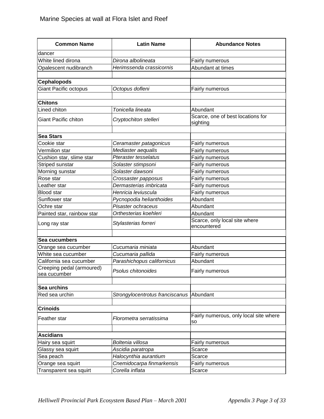| <b>Common Name</b>                        | <b>Latin Name</b>                                 | <b>Abundance Notes</b>                        |  |
|-------------------------------------------|---------------------------------------------------|-----------------------------------------------|--|
| dancer                                    |                                                   |                                               |  |
| White lined dirona                        | Dirona albolineata                                | <b>Fairly numerous</b>                        |  |
| Opalescent nudibranch                     | Herimssenda crassicornis                          | Abundant at times                             |  |
|                                           |                                                   |                                               |  |
| <b>Cephalopods</b>                        |                                                   |                                               |  |
| <b>Giant Pacific octopus</b>              | Octopus dofleni                                   | Fairly numerous                               |  |
|                                           |                                                   |                                               |  |
| <b>Chitons</b>                            |                                                   |                                               |  |
| Lined chiton                              | Tonicella lineata                                 | Abundant                                      |  |
| <b>Giant Pacific chiton</b>               | Cryptochiton stelleri                             | Scarce, one of best locations for<br>sighting |  |
|                                           |                                                   |                                               |  |
| <b>Sea Stars</b>                          |                                                   |                                               |  |
| Cookie star<br>Vermilion star             | Ceramaster patagonicus                            | <b>Fairly numerous</b>                        |  |
|                                           | Mediaster aequalis<br><b>Pteraster tesselatus</b> | Fairly numerous                               |  |
| Cushion star, slime star                  |                                                   | Fairly numerous                               |  |
| Striped sunstar                           | Solaster stimpsoni<br>Solaster dawsoni            | Fairly numerous<br>Fairly numerous            |  |
| Morning sunstar<br>Rose star              |                                                   |                                               |  |
| Leather star                              | Crossaster papposus<br>Dermasterias imbricata     | Fairly numerous<br>Fairly numerous            |  |
| <b>Blood star</b>                         | Henricia leviuscula                               | Fairly numerous                               |  |
| Sunflower star                            | Pycnopodia helianthoides                          | Abundant                                      |  |
| Ochre star                                | Pisaster ochraceus                                | Abundant                                      |  |
| Painted star, rainbow star                | Orthesterias koehleri                             | Abundant                                      |  |
|                                           |                                                   | Scarce, only local site where                 |  |
| Long ray star                             | Stylasterias forreri                              | encountered                                   |  |
| Sea cucumbers                             |                                                   |                                               |  |
| Orange sea cucumber                       | Cucumaria miniata                                 | Abundant                                      |  |
| White sea cucumber                        | Cucumaria pallida                                 | Fairly numerous                               |  |
| California sea cucumber                   | Parashichopus californicus                        | Abundant                                      |  |
| Creeping pedal (armoured)<br>sea cucumber | Psolus chitonoides                                | Fairly numerous                               |  |
| Sea urchins                               |                                                   |                                               |  |
| Red sea urchin                            | Strongylocentrotus franciscanus                   | Abundant                                      |  |
|                                           |                                                   |                                               |  |
| <b>Crinoids</b>                           |                                                   |                                               |  |
| Feather star                              | Florometra serratissima                           | Fairly numerous, only local site where<br>so  |  |
|                                           |                                                   |                                               |  |
| <b>Ascidians</b>                          |                                                   |                                               |  |
| Hairy sea squirt                          | Boltenia villosa                                  | Fairly numerous                               |  |
| Glassy sea squirt                         | Ascidia paratropa                                 | Scarce                                        |  |
| Sea peach                                 | Halocynthia aurantium                             | Scarce                                        |  |
| Orange sea squirt                         | Cnemidocarpa finmarkensis                         | Fairly numerous                               |  |
| Transparent sea squirt                    | Corella inflata                                   | Scarce                                        |  |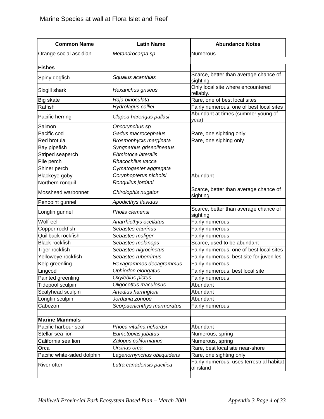| <b>Common Name</b>          | <b>Latin Name</b>          | <b>Abundance Notes</b>                                 |  |
|-----------------------------|----------------------------|--------------------------------------------------------|--|
| Orange social ascidian      | Metandrocarpa sp.          | Numerous                                               |  |
|                             |                            |                                                        |  |
| <b>Fishes</b>               |                            |                                                        |  |
| Spiny dogfish               | Squalus acanthias          | Scarce, better than average chance of<br>sighting      |  |
| Sixgill shark               | Hexanchus griseus          | Only local site where encountered<br>reliably.         |  |
| Big skate                   | Raja binoculata            | Rare, one of best local sites                          |  |
| Ratfish                     | Hydrolagus colliei         | Fairly numerous, one of best local sites               |  |
| Pacific herring             | Clupea harengus pallasi    | Abundant at times (summer young of<br>year)            |  |
| Salmon                      | Oncorynchus sp.            |                                                        |  |
| Pacific cod                 | Gadus macrocephalus        | Rare, one sighting only                                |  |
| Red brotula                 | Brosmophycis marginata     | Rare, one sighing only                                 |  |
| Bay pipefish                | Syngnathus griseolineatus  |                                                        |  |
| Striped seaperch            | Ebmiotoca lateralis        |                                                        |  |
| Pile perch                  | Rhacochilus vacca          |                                                        |  |
| Shiner perch                | Cymatogaster aggregata     |                                                        |  |
| Blackeye goby               | Coryphopterus nicholsi     | Abundant                                               |  |
| Northern ronquil            | Ronquilus jordani          |                                                        |  |
| Mosshead warbonnet          | Chirolophis nugator        | Scarce, better than average chance of<br>sighting      |  |
| Penpoint gunnel             | Apodicthys flavidus        |                                                        |  |
| Longfin gunnel              | Pholis clemensi            | Scarce, better than average chance of<br>sighting      |  |
| Wolf-eel                    | Anarrhicthys ocellatus     | Fairly numerous                                        |  |
| Copper rockfish             | Sebastes caurinus          | Fairly numerous                                        |  |
| Quillback rockfish          | Sebastes maliger           | Fairly numerous                                        |  |
| <b>Black rockfish</b>       | Sebastes melanops          | Scarce, used to be abundant                            |  |
| Tiger rockfish              | Sebastes nigrocinctus      | Fairly numerous, one of best local sites               |  |
| Yelloweye rockfish          | Sebastes ruberrimus        | Fairly numerous, best site for juveniles               |  |
| Kelp greenling              | Hexagrammos decagrammus    | <b>Fairly numerous</b>                                 |  |
| Lingcod                     | Ophiodon elongatus         | Fairly numerous, best local site                       |  |
| Painted greenling           | Oxylebius pictus           | Fairly numerous                                        |  |
| Tidepool sculpin            | Oligocottus maculosus      | Abundant                                               |  |
| Scalyhead sculpin           | Artedius harringtoni       | Abundant                                               |  |
| Longfin sculpin             | Jordania zonope            | Abundant                                               |  |
| Cabezon                     | Scorpaenichthys marmoratus | Fairly numerous                                        |  |
|                             |                            |                                                        |  |
| <b>Marine Mammals</b>       |                            |                                                        |  |
| Pacific harbour seal        | Phoca vitulina richardsi   | Abundant                                               |  |
| Stellar sea lion            | Eumetopias jubatus         | Numerous, spring                                       |  |
| California sea lion         | Zalopus californianus      | Numerous, spring                                       |  |
| Orca                        | Orcinus orca               | Rare, best local site near-shore                       |  |
| Pacific white-sided dolphin | Lagenorhynchus obliquidens | Rare, one sighting only                                |  |
| River otter                 | Lutra canadensis pacifica  | Fairly numerous, uses terrestrial habitat<br>of island |  |
|                             |                            |                                                        |  |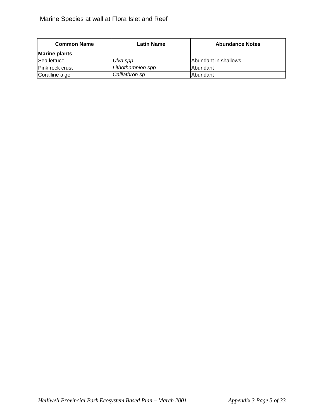| <b>Common Name</b>   | Latin Name         | <b>Abundance Notes</b> |  |
|----------------------|--------------------|------------------------|--|
| <b>Marine plants</b> |                    |                        |  |
| <b>Sea lettuce</b>   | Ulva spp.          | lAbundant in shallows  |  |
| Pink rock crust      | Lithothamnion spp. | lAbundant              |  |
| Coralline alge       | Calliathron sp.    | <b>Abundant</b>        |  |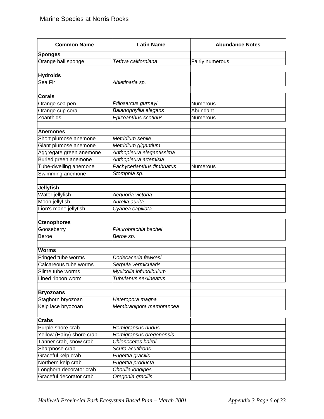| <b>Common Name</b>        | <b>Latin Name</b>          | <b>Abundance Notes</b> |
|---------------------------|----------------------------|------------------------|
| <b>Sponges</b>            |                            |                        |
| Orange ball sponge        | Tethya californiana        | Fairly numerous        |
|                           |                            |                        |
| <b>Hydroids</b>           |                            |                        |
| Sea Fir                   | Abietinaria sp.            |                        |
|                           |                            |                        |
| <b>Corals</b>             |                            |                        |
| Orange sea pen            | Ptilosarcus gurneyi        | Numerous               |
| Orange cup coral          | Balanophyllia elegans      | Abundant               |
| Zoanthids                 | Epizoanthus scotinus       | Numerous               |
|                           |                            |                        |
| <b>Anemones</b>           |                            |                        |
| Short plumose anemone     | Metridium senile           |                        |
| Giant plumose anemone     | Metridium gigantium        |                        |
| Aggregate green anemone   | Anthopleura elegantissima  |                        |
| Buried green anemone      | Anthopleura artemisia      |                        |
| Tube-dwelling anemone     | Pachycerianthus fimbriatus | Numerous               |
| Swimming anemone          | Stomphia sp.               |                        |
|                           |                            |                        |
| <b>Jellyfish</b>          |                            |                        |
| Water jellyfish           | Aequoria victoria          |                        |
| Moon jellyfish            | Aurelia aurita             |                        |
| Lion's mane jellyfish     | Cyanea capillata           |                        |
|                           |                            |                        |
| <b>Ctenophores</b>        |                            |                        |
| Gooseberry                | Pleurobrachia bachei       |                        |
| <b>Beroe</b>              | Beroe sp.                  |                        |
|                           |                            |                        |
| <b>Worms</b>              |                            |                        |
| Fringed tube worms        | Dodecaceria fewkesi        |                        |
| Calcareous tube worms     | Serpula vermicularis       |                        |
| Slime tube worms          | Myxicolla infundibulum     |                        |
| Lined ribbon worm         | Tubulanus sexlineatus      |                        |
|                           |                            |                        |
| <b>Bryozoans</b>          |                            |                        |
| Staghorn bryozoan         | Heteropora magna           |                        |
| Kelp lace bryozoan        | Membranipora membrancea    |                        |
|                           |                            |                        |
| <b>Crabs</b>              |                            |                        |
| Purple shore crab         | Hemigrapsus nudus          |                        |
| Yellow (Hairy) shore crab | Hemigrapsus oregonensis    |                        |
| Tanner crab, snow crab    | Chionocetes bairdi         |                        |
| Sharpnose crab            | Scura acutifrons           |                        |
| Graceful kelp crab        | Pugettia gracilis          |                        |
| Northern kelp crab        | Pugettia producta          |                        |
| Longhorn decorator crab   | Chorilia longipes          |                        |
| Graceful decorator crab   | Oregonia gracilis          |                        |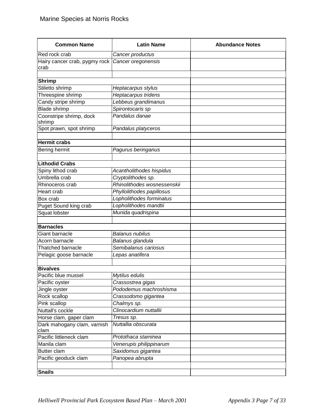| <b>Common Name</b>                    | <b>Latin Name</b>           | <b>Abundance Notes</b> |
|---------------------------------------|-----------------------------|------------------------|
| Red rock crab                         | Cancer productus            |                        |
| Hairy cancer crab, pygmy rock<br>crab | Cancer oregonensis          |                        |
| <b>Shrimp</b>                         |                             |                        |
| Stiletto shrimp                       | Heptacarpus stylus          |                        |
| Threespine shrimp                     | Heptacarpus tridens         |                        |
| Candy stripe shrimp                   | Lebbeus grandimanus         |                        |
| <b>Blade shrimp</b>                   | Spirontocaris sp            |                        |
| Coonstripe shrimp, dock               | Pandalus danae              |                        |
| shrimp                                |                             |                        |
| Spot prawn, spot shrimp               | Pandalus platyceros         |                        |
|                                       |                             |                        |
| <b>Hermit crabs</b>                   |                             |                        |
| Bering hermit                         | Pagurus beringanus          |                        |
|                                       |                             |                        |
| <b>Lithodid Crabs</b>                 |                             |                        |
| Spiny lithod crab                     | Acantholithodes hispidus    |                        |
| Umbrella crab                         | Cryptolithodes sp.          |                        |
| Rhinoceros crab                       | Rhinolithodes wosnessenskii |                        |
| Heart crab                            | Phyllolithodes papillosus   |                        |
| Box crab                              | Lopholithodes forminatus    |                        |
| Puget Sound king crab                 | Lopholithodes mandtii       |                        |
| Squat lobster                         | Munida quadrispina          |                        |
| <b>Barnacles</b>                      |                             |                        |
| Giant barnacle                        | <b>Balanus nubilus</b>      |                        |
| Acorn barnacle                        | Balanus glandula            |                        |
| <b>Thatched barnacle</b>              | Semibalanus cariosus        |                        |
| Pelagic goose barnacle                | Lepas anatifera             |                        |
|                                       |                             |                        |
| <b>Bivalves</b>                       |                             |                        |
| Pacific blue mussel                   | Mytilus edulis              |                        |
| Pacific oyster                        | Crassostrea gigas           |                        |
| Jingle oyster                         | Pododemus machroshisma      |                        |
| Rock scallop                          | Crassodomo gigantea         |                        |
| Pink scallop                          | Chalmys sp.                 |                        |
| Nuttall's cockle                      | Clinocardium nuttallii      |                        |
| Horse clam, gaper clam                | Tresus sp.                  |                        |
| Dark mahogany clam, varnish<br>clam   | Nuttallia obscurata         |                        |
| Pacific littleneck clam               | Protothaca staminea         |                        |
| Manila clam                           | Venerupis philippinarum     |                        |
| Butter clam                           | Saxidomus gigantea          |                        |
| Pacific geoduck clam                  | Panopea abrupta             |                        |
| <b>Snails</b>                         |                             |                        |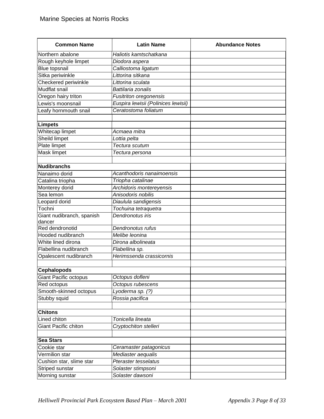| <b>Common Name</b>                  | <b>Latin Name</b>                   | <b>Abundance Notes</b> |
|-------------------------------------|-------------------------------------|------------------------|
| Northern abalone                    | Haliotis kamtschatkana              |                        |
| Rough keyhole limpet                | Diodora aspera                      |                        |
| <b>Blue topsnail</b>                | Calliostoma ligatum                 |                        |
| Sitka periwinkle                    | Littorina sitkana                   |                        |
| Checkered periwinkle                | Littorina sculata                   |                        |
| <b>Mudflat snail</b>                | Battilaria zonalis                  |                        |
| Oregon hairy triton                 | <b>Fusitriton oregonensis</b>       |                        |
| Lewis's moonsnail                   | Euspira lewisii (Polinices lewisii) |                        |
| Leafy hornmouth snail               | Ceratostoma foliatum                |                        |
|                                     |                                     |                        |
| <b>Limpets</b>                      |                                     |                        |
| Whitecap limpet                     | Acmaea mitra                        |                        |
| Sheild limpet                       | Lottia pelta                        |                        |
| Plate limpet                        | Tectura scutum                      |                        |
| Mask limpet                         | Tectura persona                     |                        |
|                                     |                                     |                        |
| <b>Nudibranchs</b>                  |                                     |                        |
| Nanaimo dorid                       | Acanthodoris nanaimoensis           |                        |
| Catalina triopha                    | Triopha catalinae                   |                        |
| Monterey dorid                      | Archidoris montereyensis            |                        |
| Sea lemon                           | Anisodoris nobilis                  |                        |
| Leopard dorid                       | Diaulula sandigensis                |                        |
| Tochni                              | Tochuina tetraquetra                |                        |
| Giant nudibranch, spanish<br>dancer | Dendronotus iris                    |                        |
| Red dendronotid                     | Dendronotus rufus                   |                        |
| Hooded nudibranch                   | Melibe leonina                      |                        |
| White lined dirona                  | Dirona albolineata                  |                        |
| Flabellina nudibranch               | Flabellina sp.                      |                        |
| Opalescent nudibranch               | Herimssenda crassicornis            |                        |
|                                     |                                     |                        |
| <b>Cephalopods</b>                  |                                     |                        |
| <b>Giant Pacific octopus</b>        | Octopus dofleni                     |                        |
| Red octopus                         | Octopus rubescens                   |                        |
| Smooth-skinned octopus              | Lyoderma sp. (?)                    |                        |
| Stubby squid                        | Rossia pacifica                     |                        |
| <b>Chitons</b>                      |                                     |                        |
| Lined chiton                        | Tonicella lineata                   |                        |
| Giant Pacific chiton                | Cryptochiton stelleri               |                        |
|                                     |                                     |                        |
| <b>Sea Stars</b>                    |                                     |                        |
| Cookie star                         | Ceramaster patagonicus              |                        |
| Vermilion star                      | Mediaster aequalis                  |                        |
| Cushion star, slime star            | Pteraster tesselatus                |                        |
| Striped sunstar                     | Solaster stimpsoni                  |                        |
| Morning sunstar                     | Solaster dawsoni                    |                        |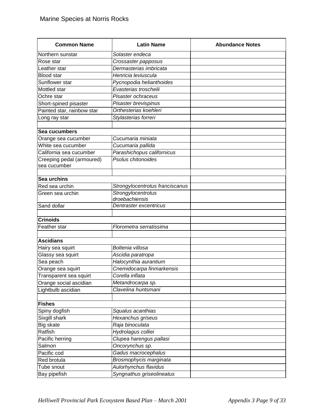| <b>Common Name</b>         | <b>Latin Name</b>                    | <b>Abundance Notes</b> |
|----------------------------|--------------------------------------|------------------------|
| Northern sunstar           | Solaster endeca                      |                        |
| Rose star                  | Crossaster papposus                  |                        |
| Leather star               | Dermasterias imbricata               |                        |
| <b>Blood</b> star          | Henricia leviuscula                  |                        |
| Sunflower star             | Pycnopodia helianthoides             |                        |
| Mottled star               | Evasterias troschelii                |                        |
| Ochre star                 | Pisaster ochraceus                   |                        |
| Short-spined pisaster      | Pisaster brevispinus                 |                        |
| Painted star, rainbow star | Orthesterias koehleri                |                        |
| Long ray star              | Stylasterias forreri                 |                        |
|                            |                                      |                        |
| Sea cucumbers              |                                      |                        |
| Orange sea cucumber        | Cucumaria miniata                    |                        |
| White sea cucumber         | Cucumaria pallida                    |                        |
| California sea cucumber    | Parashichopus californicus           |                        |
| Creeping pedal (armoured)  | Psolus chitonoides                   |                        |
| sea cucumber               |                                      |                        |
|                            |                                      |                        |
| Sea urchins                |                                      |                        |
| Red sea urchin             | Strongylocentrotus franciscanus      |                        |
| Green sea urchin           | Strongylocentrotus<br>droebachiensis |                        |
| Sand dollar                | Dentraster excentricus               |                        |
|                            |                                      |                        |
| <b>Crinoids</b>            |                                      |                        |
| Feather star               | Florometra serratissima              |                        |
|                            |                                      |                        |
| <b>Ascidians</b>           |                                      |                        |
| Hairy sea squirt           | Boltenia villosa                     |                        |
| Glassy sea squirt          | Ascidia paratropa                    |                        |
| Sea peach                  | Halocynthia aurantium                |                        |
| Orange sea squirt          | Cnemidocarpa finmarkensis            |                        |
| Transparent sea squirt     | Corella inflata                      |                        |
| Orange social ascidian     | Metandrocarpa sp.                    |                        |
| Lightbulb ascidian         | Clavelina huntsmani                  |                        |
|                            |                                      |                        |
| <b>Fishes</b>              |                                      |                        |
| Spiny dogfish              | Squalus acanthias                    |                        |
| Sixgill shark              | Hexanchus griseus                    |                        |
| Big skate                  | Raja binoculata                      |                        |
| Ratfish                    | Hydrolagus colliei                   |                        |
| Pacific herring            | Clupea harengus pallasi              |                        |
| Salmon                     | Oncorynchus sp.                      |                        |
| Pacific cod                | Gadus macrocephalus                  |                        |
| Red brotula                | Brosmophycis marginata               |                        |
| Tube snout                 | Aulorhynchus flavidus                |                        |
| Bay pipefish               | Syngnathus griseolineatus            |                        |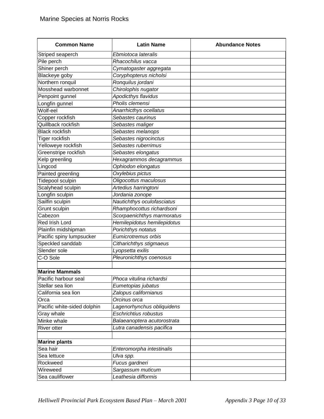| <b>Common Name</b>          | <b>Latin Name</b>            | <b>Abundance Notes</b> |
|-----------------------------|------------------------------|------------------------|
| Striped seaperch            | Ebmiotoca lateralis          |                        |
| Pile perch                  | Rhacochilus vacca            |                        |
| Shiner perch                | Cymatogaster aggregata       |                        |
| Blackeye goby               | Coryphopterus nicholsi       |                        |
| Northern ronquil            | Ronquilus jordani            |                        |
| Mosshead warbonnet          | Chirolophis nugator          |                        |
| Penpoint gunnel             | <b>Apodicthys flavidus</b>   |                        |
| Longfin gunnel              | Pholis clemensi              |                        |
| Wolf-eel                    | Anarrhicthys ocellatus       |                        |
| Copper rockfish             | Sebastes caurinus            |                        |
| Quillback rockfish          | Sebastes maliger             |                        |
| <b>Black rockfish</b>       | Sebastes melanops            |                        |
| Tiger rockfish              | Sebastes nigrocinctus        |                        |
| Yelloweye rockfish          | Sebastes ruberrimus          |                        |
| Greenstripe rockfish        | Sebastes elongatus           |                        |
| Kelp greenling              | Hexagrammos decagrammus      |                        |
| Lingcod                     | Ophiodon elongatus           |                        |
| Painted greenling           | Oxylebius pictus             |                        |
| Tidepool sculpin            | Oligocottus maculosus        |                        |
| Scalyhead sculpin           | Artedius harringtoni         |                        |
| Longfin sculpin             | Jordania zonope              |                        |
| Sailfin sculpin             | Nautichthys oculofasciatus   |                        |
| Grunt sculpin               | Rhamphocottus richardsoni    |                        |
| Cabezon                     | Scorpaenichthys marmoratus   |                        |
| Red Irish Lord              | Hemilepidotus hemilepidotus  |                        |
| Plainfin midshipman         | Porichthys notatus           |                        |
| Pacific spiny lumpsucker    | Eumicrotremus orbis          |                        |
| Speckled sanddab            | Citharichthys stigmaeus      |                        |
| Slender sole                | Lyopsetta exilis             |                        |
| C-O Sole                    | Pleuronichthys coenosus      |                        |
|                             |                              |                        |
| <b>Marine Mammals</b>       |                              |                        |
| Pacific harbour seal        | Phoca vitulina richardsi     |                        |
| Stellar sea lion            | Eumetopias jubatus           |                        |
| California sea lion         | Zalopus californianus        |                        |
| Orca                        | Orcinus orca                 |                        |
| Pacific white-sided dolphin | Lagenorhynchus obliquidens   |                        |
| Gray whale                  | <b>Eschrichtius robustus</b> |                        |
| Minke whale                 | Balaeanoptera acutorostrata  |                        |
| River otter                 | Lutra canadensis pacifica    |                        |
|                             |                              |                        |
| <b>Marine plants</b>        |                              |                        |
| Sea hair                    | Enteromorpha intestinalis    |                        |
| Sea lettuce                 | Ulva spp.                    |                        |
| Rockweed                    | Fucus gardneri               |                        |
| Wireweed                    | Sargassum muticum            |                        |
| Sea cauliflower             | Leathesia difformis          |                        |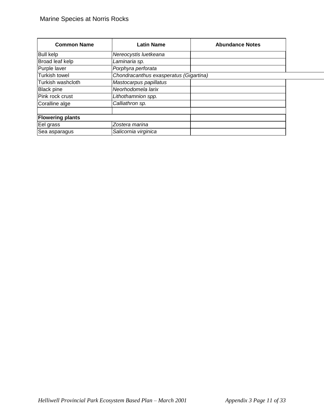| <b>Common Name</b>      | <b>Latin Name</b>                      | <b>Abundance Notes</b> |  |
|-------------------------|----------------------------------------|------------------------|--|
| <b>Bull kelp</b>        | Nereocystis luetkeana                  |                        |  |
| Broad leaf kelp         | Laminaria sp.                          |                        |  |
| Purple laver            | Porphyra perforata                     |                        |  |
| Turkish towel           | Chondracanthus exasperatus (Gigartina) |                        |  |
| Turkish washcloth       | Mastocarpus papillatus                 |                        |  |
| <b>Black pine</b>       | Neorhodomela larix                     |                        |  |
| Pink rock crust         | Lithothamnion spp.                     |                        |  |
| Coralline alge          | Calliathron sp.                        |                        |  |
| <b>Flowering plants</b> |                                        |                        |  |
| Eel grass               | Zostera marina                         |                        |  |
| Sea asparagus           | Salicornia virginica                   |                        |  |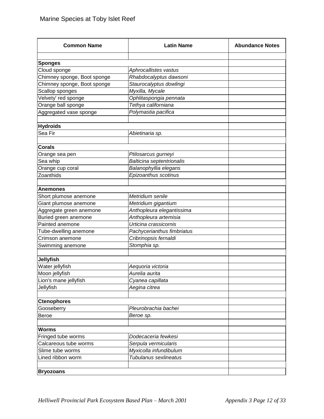| <b>Common Name</b>          | <b>Latin Name</b>          | <b>Abundance Notes</b> |
|-----------------------------|----------------------------|------------------------|
|                             |                            |                        |
| <b>Sponges</b>              |                            |                        |
| Cloud sponge                | Aphrocallistes vastus      |                        |
| Chimney sponge, Boot sponge | Rhabdocalyptus dawsoni     |                        |
| Chimney sponge, Boot sponge | Staurocalyptus dowlingi    |                        |
| Scallop sponges             | Myxilla, Mycale            |                        |
| Velvety' red sponge         | Ophlitaspongia pennata     |                        |
| Orange ball sponge          | Tethya californiana        |                        |
| Aggregated vase sponge      | Polymastia pacifica        |                        |
| <b>Hydroids</b>             |                            |                        |
| Sea Fir                     | Abietinaria sp.            |                        |
| <b>Corals</b>               |                            |                        |
| Orange sea pen              | Ptilosarcus gurneyi        |                        |
| Sea whip                    | Balticina septentrionalis  |                        |
| Orange cup coral            | Balanophyllia elegans      |                        |
| Zoanthids                   | Epizoanthus scotinus       |                        |
|                             |                            |                        |
| <b>Anemones</b>             |                            |                        |
| Short plumose anemone       | Metridium senile           |                        |
| Giant plumose anemone       | Metridium gigantium        |                        |
| Aggregate green anemone     | Anthopleura elegantissima  |                        |
| Buried green anemone        | Anthopleura artemisia      |                        |
| Painted anemone             | Urticina crassicornis      |                        |
| Tube-dwelling anemone       | Pachycerianthus fimbriatus |                        |
| Crimson anemone             | Cribrinopsis fernaldi      |                        |
| Swimming anemone            | Stomphia sp.               |                        |
| <b>Jellyfish</b>            |                            |                        |
| Water jellyfish             | Aequoria victoria          |                        |
| Moon jellyfish              | Aurelia aurita             |                        |
| Lion's mane jellyfish       | Cyanea capillata           |                        |
| Jellyfish                   | Aegina citrea              |                        |
| <b>Ctenophores</b>          |                            |                        |
| Gooseberry                  | Pleurobrachia bachei       |                        |
| <b>Beroe</b>                | Beroe sp.                  |                        |
|                             |                            |                        |
| <b>Worms</b>                |                            |                        |
| Fringed tube worms          | Dodecaceria fewkesi        |                        |
| Calcareous tube worms       | Serpula vermicularis       |                        |
| Slime tube worms            | Myxicolla infundibulum     |                        |
| Lined ribbon worm           | Tubulanus sexlineatus      |                        |
| <b>Bryozoans</b>            |                            |                        |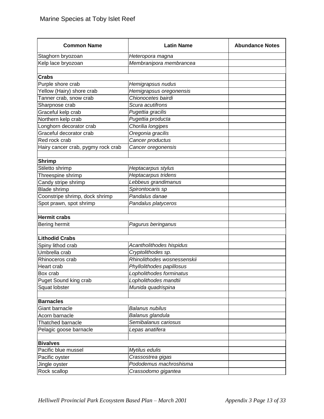| <b>Common Name</b>                 | <b>Latin Name</b>           | <b>Abundance Notes</b> |
|------------------------------------|-----------------------------|------------------------|
| Staghorn bryozoan                  | Heteropora magna            |                        |
| Kelp lace bryozoan                 | Membranipora membrancea     |                        |
|                                    |                             |                        |
| <b>Crabs</b>                       |                             |                        |
| Purple shore crab                  | Hemigrapsus nudus           |                        |
| Yellow (Hairy) shore crab          | Hemigrapsus oregonensis     |                        |
| Tanner crab, snow crab             | Chionocetes bairdi          |                        |
| Sharpnose crab                     | Scura acutifrons            |                        |
| Graceful kelp crab                 | Pugettia gracilis           |                        |
| Northern kelp crab                 | Pugettia producta           |                        |
| Longhorn decorator crab            | Chorilia longipes           |                        |
| Graceful decorator crab            | Oregonia gracilis           |                        |
| Red rock crab                      | Cancer productus            |                        |
| Hairy cancer crab, pygmy rock crab | Cancer oregonensis          |                        |
|                                    |                             |                        |
| <b>Shrimp</b>                      |                             |                        |
| Stiletto shrimp                    | Heptacarpus stylus          |                        |
| Threespine shrimp                  | Heptacarpus tridens         |                        |
| Candy stripe shrimp                | Lebbeus grandimanus         |                        |
| <b>Blade shrimp</b>                | Spirontocaris sp            |                        |
| Coonstripe shrimp, dock shrimp     | Pandalus danae              |                        |
| Spot prawn, spot shrimp            | Pandalus platyceros         |                        |
|                                    |                             |                        |
| <b>Hermit crabs</b>                |                             |                        |
| Bering hermit                      | Pagurus beringanus          |                        |
| <b>Lithodid Crabs</b>              |                             |                        |
| Spiny lithod crab                  | Acantholithodes hispidus    |                        |
| Umbrella crab                      | Cryptolithodes sp.          |                        |
| Rhinoceros crab                    | Rhinolithodes wosnessenskii |                        |
| Heart crab                         | Phyllolithodes papillosus   |                        |
| Box crab                           | Lopholithodes forminatus    |                        |
| Puget Sound king crab              | Lopholithodes mandtii       |                        |
| Squat lobster                      | Munida quadrispina          |                        |
|                                    |                             |                        |
| <b>Barnacles</b>                   |                             |                        |
| Giant barnacle                     | Balanus nubilus             |                        |
| Acorn barnacle                     | Balanus glandula            |                        |
| Thatched barnacle                  | Semibalanus cariosus        |                        |
| Pelagic goose barnacle             | Lepas anatifera             |                        |
|                                    |                             |                        |
| <b>Bivalves</b>                    |                             |                        |
| Pacific blue mussel                | Mytilus edulis              |                        |
| Pacific oyster                     | Crassostrea gigas           |                        |
| Jingle oyster                      | Pododemus machroshisma      |                        |
| Rock scallop                       | Crassodomo gigantea         |                        |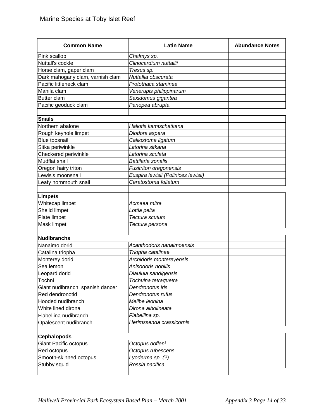| <b>Common Name</b>               | <b>Latin Name</b>                                           | <b>Abundance Notes</b> |
|----------------------------------|-------------------------------------------------------------|------------------------|
| Pink scallop                     | Chalmys sp.                                                 |                        |
| Nuttall's cockle                 | Clinocardium nuttallii                                      |                        |
| Horse clam, gaper clam           | Tresus sp.                                                  |                        |
| Dark mahogany clam, varnish clam | Nuttallia obscurata                                         |                        |
| Pacific littleneck clam          | Protothaca staminea                                         |                        |
| Manila clam                      | Venerupis philippinarum                                     |                        |
| <b>Butter clam</b>               | Saxidomus gigantea                                          |                        |
| Pacific geoduck clam             | Panopea abrupta                                             |                        |
| <b>Snails</b>                    |                                                             |                        |
| Northern abalone                 | Haliotis kamtschatkana                                      |                        |
| Rough keyhole limpet             | Diodora aspera                                              |                        |
| <b>Blue topsnail</b>             | Calliostoma ligatum                                         |                        |
| Sitka periwinkle                 | Littorina sitkana                                           |                        |
| Checkered periwinkle             | Littorina sculata                                           |                        |
| Mudflat snail                    | Battilaria zonalis                                          |                        |
| Oregon hairy triton              |                                                             |                        |
| Lewis's moonsnail                | <b>Fusitriton oregonensis</b>                               |                        |
|                                  | Euspira lewisii (Polinices lewisii)<br>Ceratostoma foliatum |                        |
| Leafy hornmouth snail            |                                                             |                        |
| <b>Limpets</b>                   |                                                             |                        |
| Whitecap limpet                  | Acmaea mitra                                                |                        |
| Sheild limpet                    | Lottia pelta                                                |                        |
| Plate limpet                     | Tectura scutum                                              |                        |
| Mask limpet                      | Tectura persona                                             |                        |
|                                  |                                                             |                        |
| <b>Nudibranchs</b>               |                                                             |                        |
| Nanaimo dorid                    | Acanthodoris nanaimoensis                                   |                        |
| Catalina triopha                 | Triopha catalinae                                           |                        |
| Monterey dorid                   | Archidoris montereyensis                                    |                        |
| Sea lemon                        | Anisodoris nobilis                                          |                        |
| Leopard dorid                    | Diaulula sandigensis                                        |                        |
| Tochni                           | Tochuina tetraquetra                                        |                        |
| Giant nudibranch, spanish dancer | Dendronotus iris                                            |                        |
| Red dendronotid                  | Dendronotus rufus                                           |                        |
| Hooded nudibranch                | Melibe leonina                                              |                        |
| White lined dirona               | Dirona albolineata                                          |                        |
| Flabellina nudibranch            | Flabellina sp.                                              |                        |
| Opalescent nudibranch            | Herimssenda crassicornis                                    |                        |
| <b>Cephalopods</b>               |                                                             |                        |
| <b>Giant Pacific octopus</b>     | Octopus dofleni                                             |                        |
| Red octopus                      | Octopus rubescens                                           |                        |
| Smooth-skinned octopus           | Lyoderma sp. (?)                                            |                        |
| Stubby squid                     | Rossia pacifica                                             |                        |
|                                  |                                                             |                        |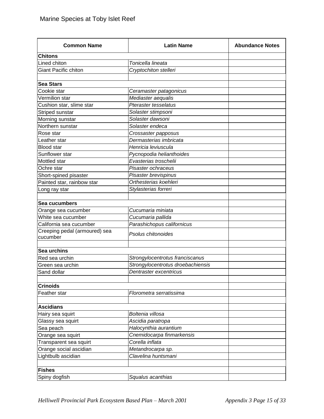| <b>Common Name</b>              | <b>Latin Name</b>                                           | <b>Abundance Notes</b> |
|---------------------------------|-------------------------------------------------------------|------------------------|
| <b>Chitons</b>                  |                                                             |                        |
| Lined chiton                    | Tonicella lineata                                           |                        |
| <b>Giant Pacific chiton</b>     | Cryptochiton stelleri                                       |                        |
|                                 |                                                             |                        |
| <b>Sea Stars</b>                |                                                             |                        |
| Cookie star                     | Ceramaster patagonicus                                      |                        |
| Vermilion star                  | Mediaster aequalis                                          |                        |
| Cushion star, slime star        | <b>Pteraster tesselatus</b>                                 |                        |
| Striped sunstar                 | Solaster stimpsoni                                          |                        |
| Morning sunstar                 | Solaster dawsoni                                            |                        |
| Northern sunstar                | Solaster endeca                                             |                        |
| Rose star                       | Crossaster papposus                                         |                        |
| Leather star                    | Dermasterias imbricata                                      |                        |
| <b>Blood</b> star               | Henricia leviuscula                                         |                        |
| Sunflower star                  | Pycnopodia helianthoides                                    |                        |
| Mottled star                    | Evasterias troschelii                                       |                        |
| Ochre star                      | Pisaster ochraceus                                          |                        |
| Short-spined pisaster           | Pisaster brevispinus                                        |                        |
| Painted star, rainbow star      | Orthesterias koehleri                                       |                        |
| Long ray star                   | Stylasterias forreri                                        |                        |
|                                 |                                                             |                        |
| Sea cucumbers                   |                                                             |                        |
| Orange sea cucumber             | Cucumaria miniata                                           |                        |
| White sea cucumber              | Cucumaria pallida                                           |                        |
| California sea cucumber         | Parashichopus californicus                                  |                        |
| Creeping pedal (armoured) sea   | Psolus chitonoides                                          |                        |
| cucumber                        |                                                             |                        |
|                                 |                                                             |                        |
| Sea urchins                     |                                                             |                        |
| Red sea urchin                  | Strongylocentrotus franciscanus                             |                        |
| Green sea urchin<br>Sand dollar | Strongylocentrotus droebachiensis<br>Dentraster excentricus |                        |
|                                 |                                                             |                        |
| <b>Crinoids</b>                 |                                                             |                        |
| Feather star                    | Florometra serratissima                                     |                        |
|                                 |                                                             |                        |
| <b>Ascidians</b>                |                                                             |                        |
| Hairy sea squirt                | Boltenia villosa                                            |                        |
| Glassy sea squirt               | Ascidia paratropa                                           |                        |
| Sea peach                       | Halocynthia aurantium                                       |                        |
| Orange sea squirt               | Cnemidocarpa finmarkensis                                   |                        |
| Transparent sea squirt          | Corella inflata                                             |                        |
| Orange social ascidian          | Metandrocarpa sp.                                           |                        |
| Lightbulb ascidian              | Clavelina huntsmani                                         |                        |
|                                 |                                                             |                        |
| <b>Fishes</b>                   |                                                             |                        |
| Spiny dogfish                   | Squalus acanthias                                           |                        |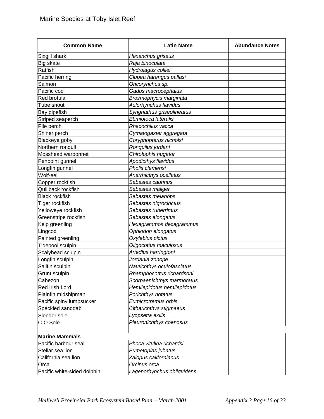| <b>Common Name</b>          | <b>Latin Name</b>           | <b>Abundance Notes</b> |
|-----------------------------|-----------------------------|------------------------|
| Sixgill shark               | Hexanchus griseus           |                        |
| Big skate                   | Raja binoculata             |                        |
| Ratfish                     | Hydrolagus colliei          |                        |
| Pacific herring             | Clupea harengus pallasi     |                        |
| Salmon                      | Oncorynchus sp.             |                        |
| Pacific cod                 | Gadus macrocephalus         |                        |
| Red brotula                 | Brosmophycis marginata      |                        |
| Tube snout                  | Aulorhynchus flavidus       |                        |
| Bay pipefish                | Syngnathus griseolineatus   |                        |
| Striped seaperch            | Ebmiotoca lateralis         |                        |
| Pile perch                  | Rhacochilus vacca           |                        |
| Shiner perch                | Cymatogaster aggregata      |                        |
| Blackeye goby               | Coryphopterus nicholsi      |                        |
| Northern ronquil            | Ronquilus jordani           |                        |
| Mosshead warbonnet          | Chirolophis nugator         |                        |
| Penpoint gunnel             | Apodicthys flavidus         |                        |
| Longfin gunnel              | Pholis clemensi             |                        |
| Wolf-eel                    | Anarrhicthys ocellatus      |                        |
| Copper rockfish             | Sebastes caurinus           |                        |
| Quillback rockfish          | Sebastes maliger            |                        |
| <b>Black rockfish</b>       | Sebastes melanops           |                        |
| Tiger rockfish              | Sebastes nigrocinctus       |                        |
| Yelloweye rockfish          | Sebastes ruberrimus         |                        |
| Greenstripe rockfish        | Sebastes elongatus          |                        |
| Kelp greenling              | Hexagrammos decagrammus     |                        |
| Lingcod                     | Ophiodon elongatus          |                        |
| Painted greenling           | Oxylebius pictus            |                        |
| Tidepool sculpin            | Oligocottus maculosus       |                        |
| Scalyhead sculpin           | Artedius harringtoni        |                        |
| Longfin sculpin             | Jordania zonope             |                        |
| Sailfin sculpin             | Nautichthys oculofasciatus  |                        |
| Grunt sculpin               | Rhamphocottus richardsoni   |                        |
| Cabezon                     | Scorpaenichthys marmoratus  |                        |
| Red Irish Lord              | Hemilepidotus hemilepidotus |                        |
| Plainfin midshipman         | Porichthys notatus          |                        |
| Pacific spiny lumpsucker    | Eumicrotremus orbis         |                        |
| Speckled sanddab            | Citharichthys stigmaeus     |                        |
| Slender sole                | Lyopsetta exilis            |                        |
| C-O Sole                    | Pleuronichthys coenosus     |                        |
|                             |                             |                        |
| <b>Marine Mammals</b>       |                             |                        |
| Pacific harbour seal        | Phoca vitulina richardsi    |                        |
| Stellar sea lion            | Eumetopias jubatus          |                        |
| California sea lion         | Zalopus californianus       |                        |
| Orca                        | Orcinus orca                |                        |
| Pacific white-sided dolphin | Lagenorhynchus obliquidens  |                        |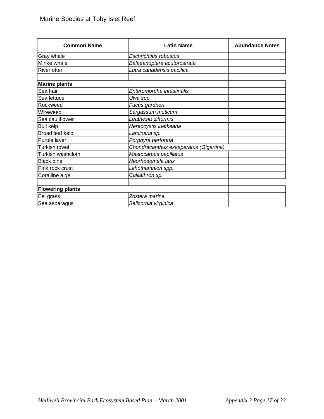| <b>Common Name</b>      | <b>Latin Name</b>                      | <b>Abundance Notes</b> |
|-------------------------|----------------------------------------|------------------------|
| Gray whale              | Eschrichtius robustus                  |                        |
| Minke whale             | Balaeanoptera acutorostrata            |                        |
| <b>River otter</b>      | Lutra canadensis pacifica              |                        |
| <b>Marine plants</b>    |                                        |                        |
| Sea hair                | Enteromorpha intestinalis              |                        |
| Sea lettuce             | Ulva spp.                              |                        |
| Rockweed                | Fucus gardneri                         |                        |
| Wireweed                | Sargassum muticum                      |                        |
| Sea cauliflower         | Leathesia difformis                    |                        |
| <b>Bull kelp</b>        | Nereocystis luetkeana                  |                        |
| Broad leaf kelp         | Laminaria sp.                          |                        |
| Purple laver            | Porphyra perforata                     |                        |
| Turkish towel           | Chondracanthus exasperatus (Gigartina) |                        |
| Turkish washcloth       | Mastocarpus papillatus                 |                        |
| <b>Black pine</b>       | Neorhodomela larix                     |                        |
| Pink rock crust         | Lithothamnion spp.                     |                        |
| Coralline alge          | Calliathron sp.                        |                        |
| <b>Flowering plants</b> |                                        |                        |
| Eel grass               | Zostera marina                         |                        |
| Sea asparagus           | Salicornia virginica                   |                        |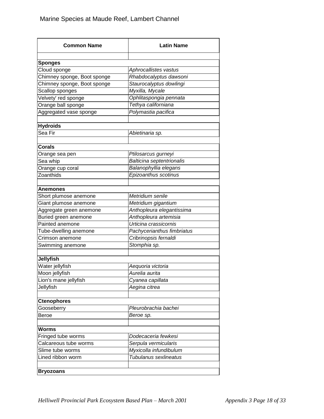| <b>Common Name</b>          | <b>Latin Name</b>          |
|-----------------------------|----------------------------|
|                             |                            |
| <b>Sponges</b>              |                            |
| Cloud sponge                | Aphrocallistes vastus      |
| Chimney sponge, Boot sponge | Rhabdocalyptus dawsoni     |
| Chimney sponge, Boot sponge | Staurocalyptus dowlingi    |
| Scallop sponges             | Myxilla, Mycale            |
| Velvety' red sponge         | Ophlitaspongia pennata     |
| Orange ball sponge          | Tethya californiana        |
| Aggregated vase sponge      | Polymastia pacifica        |
| <b>Hydroids</b>             |                            |
| Sea Fir                     | Abietinaria sp.            |
|                             |                            |
| <b>Corals</b>               |                            |
| Orange sea pen              | Ptilosarcus gurneyi        |
| Sea whip                    | Balticina septentrionalis  |
| Orange cup coral            | Balanophyllia elegans      |
| Zoanthids                   | Epizoanthus scotinus       |
| Anemones                    |                            |
| Short plumose anemone       | Metridium senile           |
| Giant plumose anemone       | Metridium gigantium        |
| Aggregate green anemone     | Anthopleura elegantissima  |
| Buried green anemone        | Anthopleura artemisia      |
| Painted anemone             | Urticina crassicornis      |
| Tube-dwelling anemone       | Pachycerianthus fimbriatus |
| Crimson anemone             | Cribrinopsis fernaldi      |
| Swimming anemone            | Stomphia sp.               |
| <b>Jellyfish</b>            |                            |
| Water jellyfish             | Aequoria victoria          |
| Moon jellyfish              | Aurelia aurita             |
|                             |                            |
| Lion's mane jellyfish       | Cyanea capillata           |
| Jellyfish                   | Aegina citrea              |
| <b>Ctenophores</b>          |                            |
| Gooseberry                  | Pleurobrachia bachei       |
| Beroe                       | Beroe sp.                  |
| <b>Worms</b>                |                            |
| Fringed tube worms          | Dodecaceria fewkesi        |
| Calcareous tube worms       | Serpula vermicularis       |
| Slime tube worms            | Myxicolla infundibulum     |
| Lined ribbon worm           | Tubulanus sexlineatus      |
|                             |                            |
| <b>Bryozoans</b>            |                            |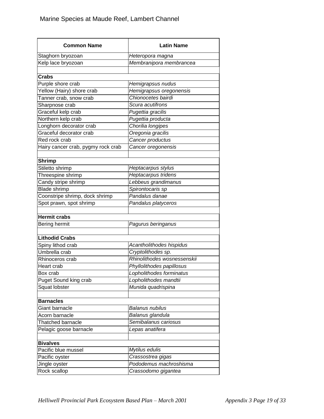| <b>Common Name</b>                       | <b>Latin Name</b>                          |
|------------------------------------------|--------------------------------------------|
| Staghorn bryozoan                        | Heteropora magna                           |
| Kelp lace bryozoan                       | Membranipora membrancea                    |
|                                          |                                            |
| Crabs                                    |                                            |
| Purple shore crab                        | Hemigrapsus nudus                          |
| Yellow (Hairy) shore crab                | Hemigrapsus oregonensis                    |
| Tanner crab, snow crab                   | Chionocetes bairdi                         |
| Sharpnose crab                           | Scura acutifrons                           |
| Graceful kelp crab                       | Pugettia gracilis                          |
| Northern kelp crab                       | Pugettia producta                          |
| Longhorn decorator crab                  | Chorilia longipes                          |
| Graceful decorator crab                  | Oregonia gracilis                          |
| Red rock crab                            | Cancer productus                           |
| Hairy cancer crab, pygmy rock crab       | Cancer oregonensis                         |
|                                          |                                            |
| <b>Shrimp</b><br>Stiletto shrimp         |                                            |
|                                          | Heptacarpus stylus                         |
| Threespine shrimp<br>Candy stripe shrimp | Heptacarpus tridens<br>Lebbeus grandimanus |
|                                          |                                            |
| <b>Blade shrimp</b>                      | Spirontocaris sp                           |
| Coonstripe shrimp, dock shrimp           | Pandalus danae                             |
| Spot prawn, spot shrimp                  | Pandalus platyceros                        |
| <b>Hermit crabs</b>                      |                                            |
| Bering hermit                            | Pagurus beringanus                         |
|                                          |                                            |
| <b>Lithodid Crabs</b>                    |                                            |
| Spiny lithod crab                        | Acantholithodes hispidus                   |
| Umbrella crab                            | Cryptolithodes sp.                         |
| Rhinoceros crab                          | Rhinolithodes wosnessenskii                |
| Heart crab                               | Phyllolithodes papillosus                  |
| Box crab                                 | Lopholithodes forminatus                   |
| <b>Puget Sound king crab</b>             | Lopholithodes mandtii                      |
| Squat lobster                            | Munida quadrispina                         |
|                                          |                                            |
| <b>Barnacles</b>                         |                                            |
| Giant barnacle                           | Balanus nubilus                            |
| Acorn barnacle                           | Balanus glandula                           |
| <b>Thatched barnacle</b>                 | Semibalanus cariosus                       |
| Pelagic goose barnacle                   | Lepas anatifera                            |
| <b>Bivalves</b>                          |                                            |
| Pacific blue mussel                      | Mytilus edulis                             |
| Pacific oyster                           | Crassostrea gigas                          |
| Jingle oyster                            | Pododemus machroshisma                     |
| Rock scallop                             | Crassodomo gigantea                        |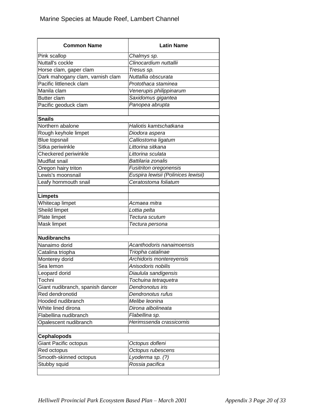| <b>Common Name</b>                          | <b>Latin Name</b>                                             |
|---------------------------------------------|---------------------------------------------------------------|
| Pink scallop                                | Chalmys sp.                                                   |
| Nuttall's cockle                            | Clinocardium nuttallii                                        |
| Horse clam, gaper clam                      | Tresus sp.                                                    |
| Dark mahogany clam, varnish clam            | Nuttallia obscurata                                           |
| Pacific littleneck clam                     | Protothaca staminea                                           |
| Manila clam                                 | Venerupis philippinarum                                       |
| <b>Butter clam</b>                          | Saxidomus gigantea                                            |
| Pacific geoduck clam                        | Panopea abrupta                                               |
| <b>Snails</b>                               |                                                               |
| Northern abalone                            | Haliotis kamtschatkana                                        |
| Rough keyhole limpet                        | Diodora aspera                                                |
| <b>Blue topsnail</b>                        | Calliostoma ligatum                                           |
| Sitka periwinkle                            | Littorina sitkana                                             |
| Checkered periwinkle                        | Littorina sculata                                             |
| <b>Mudflat snail</b>                        | Battilaria zonalis                                            |
| Oregon hairy triton                         |                                                               |
| Lewis's moonsnail                           | Fusitriton oregonensis<br>Euspira lewisii (Polinices lewisii) |
|                                             | Ceratostoma foliatum                                          |
| Leafy hornmouth snail                       |                                                               |
| <b>Limpets</b>                              |                                                               |
| Whitecap limpet                             | Acmaea mitra                                                  |
| Sheild limpet                               | Lottia pelta                                                  |
| Plate limpet                                | Tectura scutum                                                |
| Mask limpet                                 | Tectura persona                                               |
| <b>Nudibranchs</b>                          |                                                               |
| Nanaimo dorid                               | Acanthodoris nanaimoensis                                     |
| Catalina triopha                            | Triopha catalinae                                             |
| Monterey dorid                              | Archidoris montereyensis                                      |
| Sea lemon                                   | Anisodoris nobilis                                            |
| Leopard dorid                               | Diaulula sandigensis                                          |
| Tochni                                      | Tochuina tetraquetra                                          |
| Giant nudibranch, spanish dancer            | Dendronotus iris                                              |
| Red dendronotid                             | Dendronotus rufus                                             |
| Hooded nudibranch                           | Melibe leonina                                                |
| White lined dirona                          | Dirona albolineata                                            |
| Flabellina nudibranch                       | Flabellina sp.                                                |
| Opalescent nudibranch                       | Herimssenda crassicornis                                      |
|                                             |                                                               |
| <b>Cephalopods</b><br>Giant Pacific octopus |                                                               |
|                                             | Octopus dofleni                                               |
| Red octopus                                 | Octopus rubescens                                             |
| Smooth-skinned octopus                      | Lyoderma sp. (?)                                              |
| Stubby squid                                | Rossia pacifica                                               |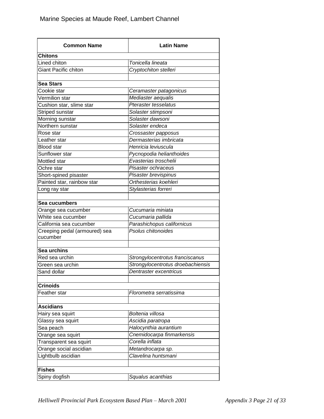| <b>Common Name</b>            | <b>Latin Name</b>                 |
|-------------------------------|-----------------------------------|
| <b>Chitons</b>                |                                   |
| Lined chiton                  | Tonicella lineata                 |
| <b>Giant Pacific chiton</b>   | Cryptochiton stelleri             |
|                               |                                   |
| <b>Sea Stars</b>              |                                   |
| Cookie star                   | Ceramaster patagonicus            |
| Vermilion star                | Mediaster aequalis                |
| Cushion star, slime star      | <b>Pteraster tesselatus</b>       |
| Striped sunstar               | Solaster stimpsoni                |
| Morning sunstar               | Solaster dawsoni                  |
| Northern sunstar              | Solaster endeca                   |
| Rose star                     | Crossaster papposus               |
| Leather star                  | Dermasterias imbricata            |
| <b>Blood</b> star             | Henricia leviuscula               |
| Sunflower star                | Pycnopodia helianthoides          |
| Mottled star                  | Evasterias troschelii             |
| Ochre star                    | Pisaster ochraceus                |
| Short-spined pisaster         | Pisaster brevispinus              |
| Painted star, rainbow star    | Orthesterias koehleri             |
| Long ray star                 | Stylasterias forreri              |
|                               |                                   |
| Sea cucumbers                 |                                   |
| Orange sea cucumber           | Cucumaria miniata                 |
| White sea cucumber            | Cucumaria pallida                 |
| California sea cucumber       | Parashichopus californicus        |
| Creeping pedal (armoured) sea | Psolus chitonoides                |
| cucumber                      |                                   |
|                               |                                   |
| Sea urchins                   |                                   |
| Red sea urchin                | Strongylocentrotus franciscanus   |
| Green sea urchin              | Strongylocentrotus droebachiensis |
| Sand dollar                   | Dentraster excentricus            |
| <b>Crinoids</b>               |                                   |
| Feather star                  | Florometra serratissima           |
|                               |                                   |
| <b>Ascidians</b>              |                                   |
| Hairy sea squirt              | Boltenia villosa                  |
| Glassy sea squirt             | Ascidia paratropa                 |
| Sea peach                     | Halocynthia aurantium             |
| Orange sea squirt             | Cnemidocarpa finmarkensis         |
| Transparent sea squirt        | Corella inflata                   |
| Orange social ascidian        | Metandrocarpa sp.                 |
| Lightbulb ascidian            | Clavelina huntsmani               |
|                               |                                   |
| <b>Fishes</b>                 |                                   |
| Spiny dogfish                 | Squalus acanthias                 |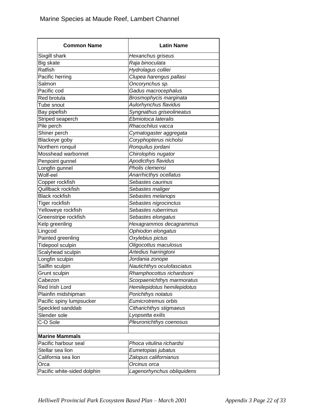| <b>Common Name</b>                  | <b>Latin Name</b>                           |
|-------------------------------------|---------------------------------------------|
| Sixgill shark                       | Hexanchus griseus                           |
| Big skate                           | Raja binoculata                             |
| Ratfish                             | Hydrolagus colliei                          |
| Pacific herring                     | Clupea harengus pallasi                     |
| Salmon                              | Oncorynchus sp.                             |
| Pacific cod                         | Gadus macrocephalus                         |
| <b>Red brotula</b>                  | Brosmophycis marginata                      |
| Tube snout                          | Aulorhynchus flavidus                       |
| Bay pipefish                        | Syngnathus griseolineatus                   |
| Striped seaperch                    | Ebmiotoca lateralis                         |
| Pile perch                          | Rhacochilus vacca                           |
| Shiner perch                        | Cymatogaster aggregata                      |
| Blackeye goby                       | Coryphopterus nicholsi                      |
| Northern ronquil                    | Ronquilus jordani                           |
| Mosshead warbonnet                  | Chirolophis nugator                         |
| Penpoint gunnel                     | Apodicthys flavidus                         |
| Longfin gunnel                      | Pholis clemensi                             |
| Wolf-eel                            | Anarrhicthys ocellatus                      |
| Copper rockfish                     | Sebastes caurinus                           |
| Quillback rockfish                  | Sebastes maliger                            |
| <b>Black rockfish</b>               | Sebastes melanops                           |
| Tiger rockfish                      | Sebastes nigrocinctus                       |
| Yelloweye rockfish                  | Sebastes ruberrimus                         |
| Greenstripe rockfish                | Sebastes elongatus                          |
| Kelp greenling                      | Hexagrammos decagrammus                     |
| Lingcod                             | Ophiodon elongatus                          |
| Painted greenling                   | Oxylebius pictus                            |
| Tidepool sculpin                    | Oligocottus maculosus                       |
| Scalyhead sculpin                   | Artedius harringtoni                        |
| Longfin sculpin                     | Jordania zonope                             |
| Sailfin sculpin                     | Nautichthys oculofasciatus                  |
| Grunt sculpin                       | Rhamphocottus richardsoni                   |
| Cabezon                             | Scorpaenichthys marmoratus                  |
| Red Irish Lord                      | Hemilepidotus hemilepidotus                 |
| Plainfin midshipman                 | Porichthys notatus                          |
| Pacific spiny lumpsucker            | Eumicrotremus orbis                         |
| Speckled sanddab                    | Citharichthys stigmaeus                     |
| Slender sole                        | Lyopsetta exilis                            |
| C-O Sole                            | Pleuronichthys coenosus                     |
| <b>Marine Mammals</b>               |                                             |
| Pacific harbour seal                | Phoca vitulina richardsi                    |
| Stellar sea lion                    |                                             |
| California sea lion                 | Eumetopias jubatus<br>Zalopus californianus |
|                                     | Orcinus orca                                |
| Orca<br>Pacific white-sided dolphin | Lagenorhynchus obliquidens                  |
|                                     |                                             |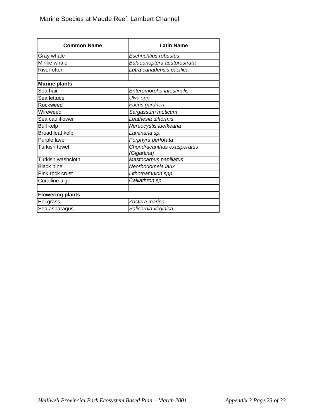| <b>Common Name</b>      | <b>Latin Name</b>                         |
|-------------------------|-------------------------------------------|
| Gray whale              | Eschrichtius robustus                     |
| Minke whale             | Balaeanoptera acutorostrata               |
| River otter             | Lutra canadensis pacifica                 |
|                         |                                           |
| <b>Marine plants</b>    |                                           |
| Sea hair                | Enteromorpha intestinalis                 |
| Sea lettuce             | Ulva spp.                                 |
| Rockweed                | Fucus gardneri                            |
| Wireweed                | Sargassum muticum                         |
| Sea cauliflower         | Leathesia difformis                       |
| <b>Bull kelp</b>        | Nereocystis luetkeana                     |
| Broad leaf kelp         | Laminaria sp.                             |
| Purple laver            | Porphyra perforata                        |
| Turkish towel           | Chondracanthus exasperatus<br>(Gigartina) |
| Turkish washcloth       | Mastocarpus papillatus                    |
| <b>Black pine</b>       | Neorhodomela larix                        |
| Pink rock crust         | Lithothamnion spp.                        |
| Coralline alge          | Calliathron sp.                           |
|                         |                                           |
| <b>Flowering plants</b> |                                           |
| Eel grass               | Zostera marina                            |
| Sea asparagus           | Salicornia virginica                      |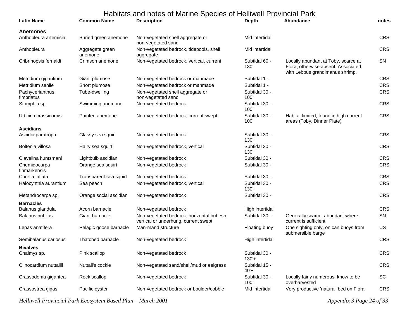| <b>Latin Name</b>                     | <b>Common Name</b>         | Habitats and notes of Marine Species of Helliwell Provincial Park<br><b>Description</b> | <b>Depth</b>             | Abundance                                                                                                     | notes      |
|---------------------------------------|----------------------------|-----------------------------------------------------------------------------------------|--------------------------|---------------------------------------------------------------------------------------------------------------|------------|
| <b>Anemones</b>                       |                            |                                                                                         |                          |                                                                                                               |            |
| Anthopleura artemisia                 | Buried green anemone       | Non-vegetated shell aggregate or<br>non-vegetated sand                                  | Mid intertidal           |                                                                                                               | <b>CRS</b> |
| Anthopleura                           | Aggregate green<br>anemone | Non-vegetated bedrock, tidepools, shell<br>aggregate                                    | Mid intertidal           |                                                                                                               | <b>CRS</b> |
| Cribrinopsis fernaldi                 | Crimson anemone            | Non-vegetated bedrock, vertical, current                                                | Subtidal 60 -<br>130'    | Locally abundant at Toby, scarce at<br>Flora, otherwise absent. Associated<br>with Lebbus grandimanus shrimp. | <b>SN</b>  |
| Metridium gigantium                   | Giant plumose              | Non-vegetated bedrock or manmade                                                        | Subtidal 1 -             |                                                                                                               | <b>CRS</b> |
| Metridium senile                      | Short plumose              | Non-vegetated bedrock or manmade                                                        | Subtidal 1 -             |                                                                                                               | <b>CRS</b> |
| Pachycerianthus<br>fimbriatus         | Tube-dwelling              | Non-vegetated shell aggregate or<br>non-vegetated sand                                  | Subtidal 30 -<br>100'    |                                                                                                               | <b>CRS</b> |
| Stomphia sp.                          | Swimming anemone           | Non-vegetated bedrock                                                                   | Subtidal 30 -<br>100'    |                                                                                                               | <b>CRS</b> |
| Urticina crassicornis                 | Painted anemone            | Non-vegetated bedrock, current swept                                                    | Subtidal 30 -<br>100'    | Habitat limited, found in high current<br>areas (Toby, Dinner Plate)                                          | <b>CRS</b> |
| <b>Ascidians</b><br>Ascidia paratropa | Glassy sea squirt          | Non-vegetated bedrock                                                                   | Subtidal 30 -<br>130'    |                                                                                                               | CRS        |
| Boltenia villosa                      | Hairy sea squirt           | Non-vegetated bedrock, vertical                                                         | Subtidal 30 -<br>130'    |                                                                                                               | CRS        |
| Clavelina huntsmani                   | Lightbulb ascidian         | Non-vegetated bedrock                                                                   | Subtidal 30 -            |                                                                                                               | <b>CRS</b> |
| Cnemidocarpa<br>finmarkensis          | Orange sea squirt          | Non-vegetated bedrock                                                                   | Subtidal 30 -            |                                                                                                               | <b>CRS</b> |
| Corella inflata                       | Transparent sea squirt     | Non-vegetated bedrock                                                                   | Subtidal 30 -            |                                                                                                               | <b>CRS</b> |
| Halocynthia aurantium                 | Sea peach                  | Non-vegetated bedrock, vertical                                                         | Subtidal 30 -<br>130'    |                                                                                                               | <b>CRS</b> |
| Metandrocarpa sp.                     | Orange social ascidian     | Non-vegetated bedrock                                                                   | Subtidal 30 -            |                                                                                                               | CRS        |
| <b>Barnacles</b>                      |                            |                                                                                         |                          |                                                                                                               |            |
| Balanus glandula                      | Acorn barnacle             | Non-vegetated bedrock                                                                   | High intertidal          |                                                                                                               | CRS        |
| Balanus nubilus                       | Giant barnacle             | Non-vegetated bedrock, horizontal but esp.<br>vertical or underhung, current swept      | Subtidal 30 -            | Generally scarce, abundant where<br>current is sufficient                                                     | SN         |
| Lepas anatifera                       | Pelagic goose barnacle     | Man-mand structure                                                                      | Floating buoy            | One sighting only, on can buoys from<br>submersible barge                                                     | US         |
| Semibalanus cariosus                  | Thatched barnacle          | Non-vegetated bedrock                                                                   | High intertidal          |                                                                                                               | CRS        |
| <b>Bivalves</b><br>Chalmys sp.        | Pink scallop               | Non-vegetated bedrock                                                                   | Subtidal 30 -<br>$130'+$ |                                                                                                               | CRS        |
| Clinocardium nuttallii                | Nuttall's cockle           | Non-vegetated sand/shell/mud or eelgrass                                                | Subtidal 15 -<br>$40' +$ |                                                                                                               | <b>CRS</b> |
| Crassodoma gigantea                   | Rock scallop               | Non-vegetated bedrock                                                                   | Subtidal 30 -<br>100'    | Locally fairly numerous, know to be<br>overharvested                                                          | SC         |
| Crassostrea gigas                     | Pacific oyster             | Non-vegetated bedrock or boulder/cobble                                                 | Mid intertidal           | Very productive 'natural' bed on Flora                                                                        | <b>CRS</b> |

*Helliwell Provincial Park Ecosystem Based Plan – March 2001 Appendix 3 Page 24 of 33*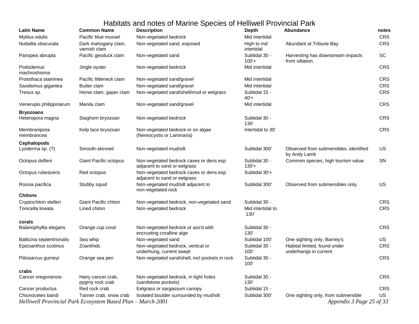| <b>Latin Name</b>                                                                 | <b>Common Name</b>                    | <b>Description</b>                                                      | <b>Depth</b>              | <b>Abundance</b>                                                | notes      |
|-----------------------------------------------------------------------------------|---------------------------------------|-------------------------------------------------------------------------|---------------------------|-----------------------------------------------------------------|------------|
| Mytilus edulis                                                                    | Pacific blue mussel                   | Non-vegetated bedrock                                                   | Mid intertidal            |                                                                 | CRS        |
| Nuttallia obscurata                                                               | Dark mahogany clam,<br>varnish clam   | Non-vegetated sand, exposed                                             | High to md<br>intertidal  | Abundant at Tribune Bay                                         | CRS        |
| Panopea abrupta                                                                   | Pacific geoduck clam                  | Non-vegetated sand                                                      | Subtidal 30 -<br>$100'+$  | Harvesting has downstream impacts<br>from siltation.            | SC         |
| Pododemus<br>machroshisma                                                         | Jingle oyster                         | Non-vegetated bedrock                                                   | Mid intertidal            |                                                                 | <b>CRS</b> |
| Protothaca staminea                                                               | Pacific littleneck clam               | Non-vegetated sand/gravel                                               | Mid intertidal            |                                                                 | CRS        |
| Saxidomus gigantea                                                                | Butter clam                           | Non-vegetated sand/gravel                                               | Mid intertidal            |                                                                 | CRS        |
| Tresus sp.                                                                        | Horse clam, gaper clam                | Non-vegetated sand/shell/mud or eelgrass                                | Subtidal 15 -<br>$40'+$   |                                                                 | CRS        |
| Venerupis philippinarum                                                           | Manila clam                           | Non-vegetated sand/gravel                                               | Mid intertidal            |                                                                 | CRS        |
| <b>Bryozoans</b>                                                                  |                                       |                                                                         |                           |                                                                 |            |
| Heteropora magna                                                                  | Staghorn bryozoan                     | Non-vegetated bedrock                                                   | Subtidal 30 -<br>130'     |                                                                 | CRS        |
| Membranipora<br>membrancea                                                        | Kelp lace bryozoan                    | Non-vegetated bedrock or on algae<br>(Nereocystis or Laminaria)         | Intertidal to 30'         |                                                                 | CRS        |
| <b>Cephalopods</b>                                                                |                                       |                                                                         |                           |                                                                 |            |
| Lyoderma sp. (?)                                                                  | Smooth-skinned                        | Non-vegetated mud/silt                                                  | Subtidal 300'             | Observed from submersibles, identified<br>by Andy Lamb          | US         |
| Octopus dofleni                                                                   | Giant Pacific octopus                 | Non-vegetated bedrock caves or dens esp<br>adjacent to sand or eelgrass | Subtidal 30 -<br>$130'+$  | Common species, high tourism value                              | SN         |
| Octopus rubescens                                                                 | Red octopus                           | Non-vegetated bedrock caves or dens esp<br>adjacent to sand or eelgrass | Subtidal 30'+             |                                                                 |            |
| Rossia pacifica                                                                   | Stubby squid                          | Non-vegetated mud/silt adjacent to<br>non-vegetated rock                | Subtidal 300              | Observed from submersibles only.                                | <b>US</b>  |
| <b>Chitons</b>                                                                    |                                       |                                                                         |                           |                                                                 |            |
| Cryptochiton stelleri                                                             | <b>Giant Pacific chiton</b>           | Non-vegetated bedrock, non-vegetated sand                               | Subtidal 30 -             |                                                                 | <b>CRS</b> |
| Tonicella lineata                                                                 | Lined chiton                          | Non-vegetated bedrock                                                   | Mid intertidal to<br>130' |                                                                 | CRS        |
| corals                                                                            |                                       |                                                                         |                           |                                                                 |            |
| Balanophyllia elegans                                                             | Orange cup coral                      | Non-vegetated bedrock or ass'd with<br>encrusting coralline alge        | Subtidal 30 -<br>130'     |                                                                 | CRS        |
| Balticina septentrionalis                                                         | Sea whip                              | Non-vegetated sand                                                      | Subtidal 100              | One sighting only, Barney's                                     | US         |
| Epizoanthus scotinus                                                              | Zoanthids                             | Non-vegetated bedrock, vertical or<br>underhung, current swept          | Subtidal 30 -<br>100'     | Habitat limited, found under<br>underhangs in current           | CRS        |
| Ptilosarcus gurneyi                                                               | Orange sea pen                        | Non-vegetated sand/shell, incl pockets in rock                          | Subtidal 30 -<br>100'     |                                                                 | CRS        |
| crabs                                                                             |                                       |                                                                         |                           |                                                                 |            |
| Cancer oregonensis                                                                | Hairy cancer crab,<br>pygmy rock crab | Non-vegetated bedrock, in tight holes<br>(sandstone pockets)            | Subtidal 30 -<br>130'     |                                                                 | CRS        |
| Cancer productus                                                                  | Red rock crab                         | Eelgrass or sargassum canopy                                            | Subtidal 15 -             |                                                                 | CRS        |
| Chionocetes bairdi<br>Helliwell Provincial Park Ecosystem Based Plan - March 2001 | Tanner crab, snow crab                | Isolated boulder surrounded by mud/silt                                 | Subtidal 300'             | One sighting only, from submersible<br>Appendix 3 Page 25 of 33 | <b>US</b>  |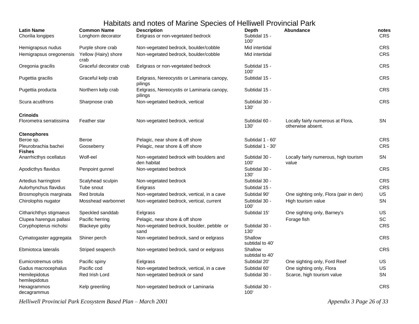| <b>Latin Name</b>                     | <b>Common Name</b>           | <b>Description</b>                                     | Depth                      | Abundance                                              | notes      |
|---------------------------------------|------------------------------|--------------------------------------------------------|----------------------------|--------------------------------------------------------|------------|
| Chorilia longipes                     | Longhorn decorator           | Eelgrass or non-vegetated bedrock                      | Subtidal 15 -<br>100'      |                                                        | <b>CRS</b> |
| Hemigrapsus nudus                     | Purple shore crab            | Non-vegetated bedrock, boulder/cobble                  | Mid intertidal             |                                                        | CRS        |
| Hemigrapsus oregonensis               | Yellow (Hairy) shore<br>crab | Non-vegetated bedrock, boulder/cobble                  | Mid intertidal             |                                                        | <b>CRS</b> |
| Oregonia gracilis                     | Graceful decorator crab      | Eelgrass or non-vegetated bedrock                      | Subtidal 15 -<br>100'      |                                                        | <b>CRS</b> |
| Pugettia gracilis                     | Graceful kelp crab           | Eelgrass, Nereocystis or Laminaria canopy,<br>pilings  | Subtidal 15 -              |                                                        | CRS        |
| Pugettia producta                     | Northern kelp crab           | Eelgrass, Nereocystis or Laminaria canopy,<br>pilings  | Subtidal 15 -              |                                                        | CRS        |
| Scura acutifrons                      | Sharpnose crab               | Non-vegetated bedrock, vertical                        | Subtidal 30 -<br>130'      |                                                        | <b>CRS</b> |
| <b>Crinoids</b>                       |                              |                                                        |                            |                                                        |            |
| Florometra serratissima               | Feather star                 | Non-vegetated bedrock, vertical                        | Subtidal 60 -<br>130'      | Locally fairly numerous at Flora,<br>otherwise absent. | <b>SN</b>  |
| <b>Ctenophores</b>                    |                              |                                                        |                            |                                                        |            |
| Beroe sp.                             | Beroe                        | Pelagic, near shore & off shore                        | Subtidal 1 - 60'           |                                                        | <b>CRS</b> |
| Pleurobrachia bachei<br><b>Fishes</b> | Gooseberry                   | Pelagic, near shore & off shore                        | Subtidal 1 - 30'           |                                                        | <b>CRS</b> |
| Anarrhicthys ocellatus                | Wolf-eel                     | Non-vegetated bedrock with boulders and<br>den habitat | Subtidal 30 -<br>100'      | Locally fairly numerous, high tourism<br>value         | SN         |
| Apodicthys flavidus                   | Penpoint gunnel              | Non-vegetated bedrock                                  | Subtidal 30 -<br>130'      |                                                        | <b>CRS</b> |
| Artedius harringtoni                  | Scalyhead sculpin            | Non-vegetated bedrock                                  | Subtidal 30 -              |                                                        | CRS        |
| Aulorhynchus flavidus                 | Tube snout                   | Eelgrass                                               | Subtidal 15 -              |                                                        | <b>CRS</b> |
| Brosmophycis marginata                | Red brotula                  | Non-vegetated bedrock, vertical, in a cave             | Subtidal 90'               | One sighting only, Flora (pair in den)                 | <b>US</b>  |
| Chirolophis nugator                   | Mosshead warbonnet           | Non-vegetated bedrock, vertical, current               | Subtidal 30 -<br>100'      | High tourism value                                     | SN         |
| Citharichthys stigmaeus               | Speckled sanddab             | Eelgrass                                               | Subtidal 15'               | One sighting only, Barney's                            | <b>US</b>  |
| Clupea harengus pallasi               | Pacific herring              | Pelagic, near shore & off shore                        |                            | Forage fish                                            | <b>SC</b>  |
| Coryphopterus nicholsi                | Blackeye goby                | Non-vegetated bedrock, boulder, pebble or<br>sand      | Subtidal 30 -<br>130'      |                                                        | CRS        |
| Cymatogaster aggregata                | Shiner perch                 | Non-vegetated bedrock, sand or eelgrass                | Shallow<br>subtidal to 40' |                                                        | <b>CRS</b> |
| Ebmiotoca lateralis                   | Striped seaperch             | Non-vegetated bedrock, sand or eelgrass                | Shallow<br>subtidal to 40' |                                                        | CRS        |
| Eumicrotremus orbis                   | Pacific spiny                | Eelgrass                                               | Subtidal 20'               | One sighting only, Ford Reef                           | US         |
| Gadus macrocephalus                   | Pacific cod                  | Non-vegetated bedrock, vertical, in a cave             | Subtidal 60'               | One sighting only, Flora                               | US.        |
| Hemilepidotus<br>hemilepidotus        | Red Irish Lord               | Non-vegetated bedrock or sand                          | Subtidal 30 -              | Scarce, high tourism value                             | <b>SN</b>  |
| Hexagrammos<br>decagrammus            | Kelp greenling               | Non-vegetated bedrock or Laminaria                     | Subtidal 30 -<br>100'      |                                                        | <b>CRS</b> |

*Helliwell Provincial Park Ecosystem Based Plan – March 2001 Appendix 3 Page 26 of 33*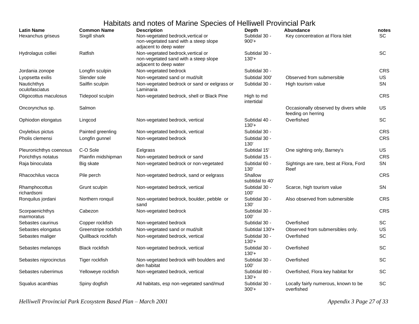| <b>Latin Name</b><br>Hexanchus griseus | <b>Common Name</b><br>Sixgill shark | <b>Description</b><br>Non-vegetated bedrock, vertical or<br>non-vegetated sand with a steep slope<br>adjacent to deep water | <b>Depth</b><br>Subtidal 30 -<br>$900'+$ | Abundance<br>Key concentration at Flora Islet               | notes<br>SC |
|----------------------------------------|-------------------------------------|-----------------------------------------------------------------------------------------------------------------------------|------------------------------------------|-------------------------------------------------------------|-------------|
| Hydrolagus colliei                     | Ratfish                             | Non-vegetated bedrock, vertical or<br>non-vegetated sand with a steep slope<br>adjacent to deep water                       | Subtidal 30 -<br>$130'+$                 |                                                             | SC.         |
| Jordania zonope                        | Longfin sculpin                     | Non-vegetated bedrock                                                                                                       | Subtidal 30 -                            |                                                             | <b>CRS</b>  |
| Lyopsetta exilis                       | Slender sole                        | Non-vegetated sand or mud/silt                                                                                              | Subtidal 300'                            | Observed from submersible                                   | <b>US</b>   |
| Nautichthys<br>oculofasciatus          | Sailfin sculpin                     | Non-vegetated bedrock or sand or eelgrass or<br>Laminaria                                                                   | Subtidal 30 -                            | High tourism value                                          | SN          |
| Oligocottus maculosus                  | Tidepool sculpin                    | Non-vegetated bedrock, shell or Black Pine                                                                                  | High to md<br>intertidal                 |                                                             | <b>CRS</b>  |
| Oncorynchus sp.                        | Salmon                              |                                                                                                                             |                                          | Occasionally observed by divers while<br>feeding on herring | <b>US</b>   |
| Ophiodon elongatus                     | Lingcod                             | Non-vegetated bedrock, vertical                                                                                             | Subtidal 40 -<br>$130'+$                 | Overfished                                                  | <b>SC</b>   |
| Oxylebius pictus                       | Painted greenling                   | Non-vegetated bedrock, vertical                                                                                             | Subtidal 30 -                            |                                                             | <b>CRS</b>  |
| Pholis clemensi                        | Longfin gunnel                      | Non-vegetated bedrock                                                                                                       | Subtidal 30 -<br>130                     |                                                             | <b>CRS</b>  |
| Pleuronichthys coenosus                | C-O Sole                            | Eelgrass                                                                                                                    | Subtidal 15'                             | One sighting only, Barney's                                 | <b>US</b>   |
| Porichthys notatus                     | Plainfin midshipman                 | Non-vegetated bedrock or sand                                                                                               | Subtidal 15 -                            |                                                             | <b>CRS</b>  |
| Raja binoculata                        | Big skate                           | Non-vegetated bedrock or non-vegetated                                                                                      | Subtidal 60 -<br>130'                    | Sightings are rare, best at Flora, Ford<br>Reef             | SN          |
| Rhacochilus vacca                      | Pile perch                          | Non-vegetated bedrock, sand or eelgrass                                                                                     | Shallow<br>subtidal to 40'               |                                                             | <b>CRS</b>  |
| Rhamphocottus<br>richardsoni           | Grunt sculpin                       | Non-vegetated bedrock, vertical                                                                                             | Subtidal 30 -<br>100'                    | Scarce, high tourism value                                  | <b>SN</b>   |
| Ronquilus jordani                      | Northern ronquil                    | Non-vegetated bedrock, boulder, pebble or<br>sand                                                                           | Subtidal 30 -<br>130'                    | Also observed from submersible                              | <b>CRS</b>  |
| Scorpaenichthys<br>marmoratus          | Cabezon                             | Non-vegetated bedrock                                                                                                       | Subtidal 30 -<br>100'                    |                                                             | <b>CRS</b>  |
| Sebastes caurinus                      | Copper rockfish                     | Non-vegetated bedrock                                                                                                       | Subtidal 30 -                            | Overfished                                                  | <b>SC</b>   |
| Sebastes elongatus                     | Greenstripe rockfish                | Non-vegetated sand or mud/silt                                                                                              | Subtidal 130'+                           | Observed from submersibles only.                            | <b>US</b>   |
| Sebastes maliger                       | Quillback rockfish                  | Non-vegetated bedrock, vertical                                                                                             | Subtidal 30 -<br>$130'+$                 | Overfished                                                  | <b>SC</b>   |
| Sebastes melanops                      | <b>Black rockfish</b>               | Non-vegetated bedrock, vertical                                                                                             | Subtidal 30 -<br>$130'+$                 | Overfished                                                  | <b>SC</b>   |
| Sebastes nigrocinctus                  | Tiger rockfish                      | Non-vegetated bedrock with boulders and<br>den habitat                                                                      | Subtidal 30 -<br>100'                    | Overfished                                                  | <b>SC</b>   |
| Sebastes ruberrimus                    | Yelloweye rockfish                  | Non-vegetated bedrock, vertical                                                                                             | Subtidal 80 -<br>$130'+$                 | Overfished, Flora key habitat for                           | <b>SC</b>   |
| Squalus acanthias                      | Spiny dogfish                       | All habitats, esp non-vegetated sand/mud                                                                                    | Subtidal 30 -<br>$300'+$                 | Locally fairly numerous, known to be<br>overfished          | SC          |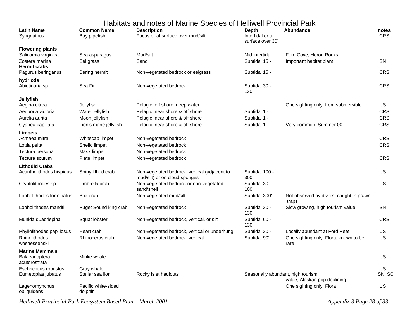|                                                             |                                    | Habitats and notes of Marine Species of Helliwell Provincial Park               |                                                      |                                                                                |                     |
|-------------------------------------------------------------|------------------------------------|---------------------------------------------------------------------------------|------------------------------------------------------|--------------------------------------------------------------------------------|---------------------|
| <b>Latin Name</b><br>Syngnathus                             | <b>Common Name</b><br>Bay pipefish | <b>Description</b><br>Fucus or at surface over mud/silt                         | <b>Depth</b><br>Intertidal or at<br>surface over 30' | <b>Abundance</b>                                                               | notes<br><b>CRS</b> |
| <b>Flowering plants</b>                                     |                                    |                                                                                 |                                                      |                                                                                |                     |
| Salicornia virginica                                        | Sea asparagus                      | Mud/silt                                                                        | Mid intertidal                                       | Ford Cove, Heron Rocks                                                         |                     |
| Zostera marina<br><b>Hermit crabs</b>                       | Eel grass                          | Sand                                                                            | Subtidal 15 -                                        | Important habitat plant                                                        | <b>SN</b>           |
| Pagurus beringanus                                          | Bering hermit                      | Non-vegetated bedrock or eelgrass                                               | Subtidal 15 -                                        |                                                                                | <b>CRS</b>          |
| hydriods<br>Abietinaria sp.                                 | Sea Fir                            | Non-vegetated bedrock                                                           | Subtidal 30 -<br>130'                                |                                                                                | <b>CRS</b>          |
| Jellyfish                                                   |                                    |                                                                                 |                                                      |                                                                                |                     |
| Aegina citrea                                               | Jellyfish                          | Pelagic, off shore, deep water                                                  |                                                      | One sighting only, from submersible                                            | <b>US</b>           |
| Aequoria victoria                                           | Water jellyfish                    | Pelagic, near shore & off shore                                                 | Subtidal 1 -                                         |                                                                                | <b>CRS</b>          |
| Aurelia aurita                                              | Moon jellyfish                     | Pelagic, near shore & off shore                                                 | Subtidal 1 -                                         |                                                                                | <b>CRS</b>          |
| Cyanea capillata                                            | Lion's mane jellyfish              | Pelagic, near shore & off shore                                                 | Subtidal 1 -                                         | Very common, Summer 00                                                         | <b>CRS</b>          |
| Limpets                                                     |                                    |                                                                                 |                                                      |                                                                                |                     |
| Acmaea mitra                                                | Whitecap limpet                    | Non-vegetated bedrock                                                           |                                                      |                                                                                | <b>CRS</b>          |
| Lottia pelta                                                | Sheild limpet                      | Non-vegetated bedrock                                                           |                                                      |                                                                                | <b>CRS</b>          |
| Tectura persona                                             | Mask limpet                        | Non-vegetated bedrock                                                           |                                                      |                                                                                |                     |
| Tectura scutum                                              | Plate limpet                       | Non-vegetated bedrock                                                           |                                                      |                                                                                | <b>CRS</b>          |
| <b>Lithodid Crabs</b>                                       |                                    |                                                                                 |                                                      |                                                                                |                     |
| Acantholithodes hispidus                                    | Spiny lithod crab                  | Non-vegetated bedrock, vertical (adjacent to<br>mud/silt) or on cloud sponges   | Subtidal 100 -<br>300'                               |                                                                                | US                  |
| Cryptolithodes sp.                                          | Umbrella crab                      | Non-vegetated bedrock or non-vegetated<br>sand/shell                            | Subtidal 30 -<br>100'                                |                                                                                | US                  |
| Lopholithodes forminatus                                    | Box crab                           | Non-vegetated mud/silt                                                          | Subtidal 300'                                        | Not observed by divers, caught in prawn<br>traps                               |                     |
| Lopholithodes mandtii                                       | Puget Sound king crab              | Non-vegetated bedrock                                                           | Subtidal 30 -<br>130'                                | Slow growing, high tourism value                                               | <b>SN</b>           |
| Munida quadrispina                                          | Squat lobster                      | Non-vegetated bedrock, vertical, or silt                                        | Subtidal 60 -<br>130'                                |                                                                                | <b>CRS</b>          |
| Phyllolithodes papillosus<br>Rhinolithodes<br>wosnessenskii | Heart crab<br>Rhinoceros crab      | Non-vegetated bedrock, vertical or underhung<br>Non-vegetated bedrock, vertical | Subtidal 30 -<br>Subtidal 90'                        | Locally abundant at Ford Reef<br>One sighting only, Flora, known to be<br>rare | US<br>US            |
| <b>Marine Mammals</b>                                       |                                    |                                                                                 |                                                      |                                                                                |                     |
| Balaeanoptera<br>acutorostrata                              | Minke whale                        |                                                                                 |                                                      |                                                                                | US                  |
| Eschrichtius robustus                                       | Gray whale                         |                                                                                 |                                                      |                                                                                | US                  |
| Eumetopias jubatus                                          | Stellar sea lion                   | Rocky islet haulouts                                                            | Seasonally abundant, high tourism                    |                                                                                | SN, SC              |
| Lagenorhynchus<br>obliquidens                               | Pacific white-sided<br>dolphin     |                                                                                 |                                                      | value, Alaskan pop declining<br>One sighting only, Flora                       | US                  |

*Helliwell Provincial Park Ecosystem Based Plan – March 2001 Appendix 3 Page 28 of 33*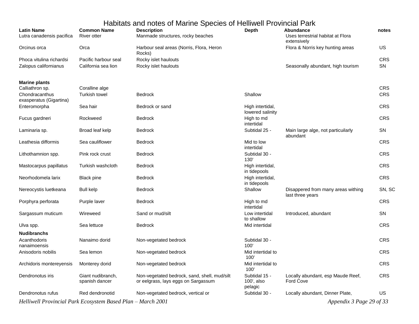| <b>Latin Name</b><br>Lutra canadensis pacifica | <b>Common Name</b><br><b>River otter</b> | <u>Diawana noloo of manno Opooloo of Fiolimon Fiovinolal Pann</u><br><b>Description</b><br>Manmade structures, rocky beaches | <b>Depth</b>                           | Abundance<br>Uses terrestrial habitat at Flora<br>extensively | notes      |
|------------------------------------------------|------------------------------------------|------------------------------------------------------------------------------------------------------------------------------|----------------------------------------|---------------------------------------------------------------|------------|
| Orcinus orca                                   | Orca                                     | Harbour seal areas (Norris, Flora, Heron<br>Rocks)                                                                           |                                        | Flora & Norris key hunting areas                              | US         |
| Phoca vitulina richardsi                       | Pacific harbour seal                     | Rocky islet haulouts                                                                                                         |                                        |                                                               | CRS        |
| Zalopus californianus                          | California sea lion                      | Rocky islet haulouts                                                                                                         |                                        | Seasonally abundant, high tourism                             | SN         |
| <b>Marine plants</b><br>Calliathron sp.        | Coralline alge                           |                                                                                                                              |                                        |                                                               | CRS        |
| Chondracanthus<br>exasperatus (Gigartina)      | <b>Turkish towel</b>                     | <b>Bedrock</b>                                                                                                               | Shallow                                |                                                               | <b>CRS</b> |
| Enteromorpha                                   | Sea hair                                 | Bedrock or sand                                                                                                              | High intertidal,<br>lowered salinity   |                                                               | <b>CRS</b> |
| Fucus gardneri                                 | Rockweed                                 | <b>Bedrock</b>                                                                                                               | High to md<br>intertidal               |                                                               | <b>CRS</b> |
| Laminaria sp.                                  | Broad leaf kelp                          | <b>Bedrock</b>                                                                                                               | Subtidal 25 -                          | Main large alge, not particuilarly<br>abundant                | SN         |
| Leathesia difformis                            | Sea cauliflower                          | <b>Bedrock</b>                                                                                                               | Mid to low<br>intertidal               |                                                               | <b>CRS</b> |
| Lithothamnion spp.                             | Pink rock crust                          | <b>Bedrock</b>                                                                                                               | Subtidal 30 -<br>130'                  |                                                               | <b>CRS</b> |
| Mastocarpus papillatus                         | Turkish washcloth                        | <b>Bedrock</b>                                                                                                               | High intertidal,<br>in tidepools       |                                                               | CRS        |
| Neorhodomela larix                             | <b>Black pine</b>                        | <b>Bedrock</b>                                                                                                               | High intertidal,<br>in tidepools       |                                                               | CRS        |
| Nereocystis luetkeana                          | <b>Bull kelp</b>                         | <b>Bedrock</b>                                                                                                               | Shallow                                | Disappered from many areas withing<br>last three years        | SN, SC     |
| Porphyra perforata                             | Purple laver                             | <b>Bedrock</b>                                                                                                               | High to md<br>intertidal               |                                                               | <b>CRS</b> |
| Sargassum muticum                              | Wireweed                                 | Sand or mud/silt                                                                                                             | Low intertidal<br>to shallow           | Introduced, abundant                                          | SN         |
| Ulva spp.<br><b>Nudibranchs</b>                | Sea lettuce                              | <b>Bedrock</b>                                                                                                               | Mid intertidal                         |                                                               | <b>CRS</b> |
| Acanthodoris<br>nanaimoensis                   | Nanaimo dorid                            | Non-vegetated bedrock                                                                                                        | Subtidal 30 -<br>100'                  |                                                               | <b>CRS</b> |
| Anisodoris nobilis                             | Sea lemon                                | Non-vegetated bedrock                                                                                                        | Mid intertidal to<br>100'              |                                                               | <b>CRS</b> |
| Archidoris montereyensis                       | Monterey dorid                           | Non-vegetated bedrock                                                                                                        | Mid intertidal to<br>100'              |                                                               | CRS        |
| Dendronotus iris                               | Giant nudibranch,<br>spanish dancer      | Non-vegetated bedrock, sand, shell, mud/silt<br>or eelgrass, lays eggs on Sargassum                                          | Subtidal 15 -<br>100', also<br>pelagic | Locally abundant, esp Maude Reef,<br><b>Ford Cove</b>         | <b>CRS</b> |
| Dendronotus rufus                              | Red dendronotid                          | Non-vegetated bedrock, vertical or                                                                                           | Subtidal 30 -                          | Locally abundant, Dinner Plate,                               | US         |

*Helliwell Provincial Park Ecosystem Based Plan – March 2001 Appendix 3 Page 29 of 33*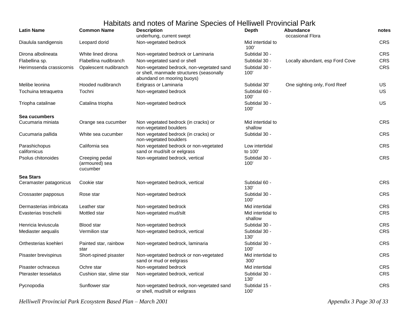| <b>Latin Name</b>             | <b>Common Name</b>                           | <b>Description</b><br>underhung, current swept                                                                      | <b>Depth</b>                 | Abundance<br>occasional Flora   | notes      |
|-------------------------------|----------------------------------------------|---------------------------------------------------------------------------------------------------------------------|------------------------------|---------------------------------|------------|
| Diaulula sandigensis          | Leopard dorid                                | Non-vegetated bedrock                                                                                               | Mid intertidal to<br>100'    |                                 | <b>CRS</b> |
| Dirona albolineata            | White lined dirona                           | Non-vegetated bedrock or Laminaria                                                                                  | Subtidal 30 -                |                                 | <b>CRS</b> |
| Flabellina sp.                | Flabellina nudibranch                        | Non-vegetated sand or shell                                                                                         | Subtidal 30 -                | Locally abundant, esp Ford Cove | <b>CRS</b> |
| Herimssenda crassicornis      | Opalescent nudibranch                        | Non-vegetated bedrock, non-vegetated sand<br>or shell, manmade structures (seasonally<br>abundand on mooring buoys) | Subtidal 30 -<br>100'        |                                 | <b>CRS</b> |
| Melibe leonina                | Hooded nudibranch                            | Eelgrass or Laminaria                                                                                               | Subtidal 30'                 | One sighting only, Ford Reef    | <b>US</b>  |
| Tochuina tetraquetra          | Tochni                                       | Non-vegetated bedrock                                                                                               | Subtidal 60 -<br>100'        |                                 | US.        |
| Triopha catalinae             | Catalina triopha                             | Non-vegetated bedrock                                                                                               | Subtidal 30 -<br>100'        |                                 | <b>US</b>  |
| Sea cucumbers                 |                                              |                                                                                                                     |                              |                                 |            |
| Cucumaria miniata             | Orange sea cucumber                          | Non vegetated bedrock (in cracks) or<br>non-vegetated boulders                                                      | Mid intertidal to<br>shallow |                                 | CRS        |
| Cucumaria pallida             | White sea cucumber                           | Non vegetated bedrock (in cracks) or<br>non-vegetated boulders                                                      | Subtidal 30 -                |                                 | <b>CRS</b> |
| Parashichopus<br>californicus | California sea                               | Non vegetated bedrock or non-vegetated<br>sand or mud/silt or eelgrass                                              | Low intertidal<br>to 100'    |                                 | <b>CRS</b> |
| Psolus chitonoides            | Creeping pedal<br>(armoured) sea<br>cucumber | Non-vegetated bedrock, vertical                                                                                     | Subtidal 30 -<br>100'        |                                 | CRS        |
| <b>Sea Stars</b>              |                                              |                                                                                                                     |                              |                                 |            |
| Ceramaster patagonicus        | Cookie star                                  | Non-vegetated bedrock, vertical                                                                                     | Subtidal 60 -<br>130'        |                                 | <b>CRS</b> |
| Crossaster papposus           | Rose star                                    | Non-vegetated bedrock                                                                                               | Subtidal 30 -<br>100'        |                                 | <b>CRS</b> |
| Dermasterias imbricata        | Leather star                                 | Non-vegetated bedrock                                                                                               | Mid intertidal               |                                 | <b>CRS</b> |
| Evasterias troschelii         | Mottled star                                 | Non-vegetated mud/silt                                                                                              | Mid intertidal to<br>shallow |                                 | <b>CRS</b> |
| Henricia leviuscula           | Blood star                                   | Non-vegetated bedrock                                                                                               | Subtidal 30 -                |                                 | CRS        |
| Mediaster aequalis            | Vermilion star                               | Non-vegetated bedrock, vertical                                                                                     | Subtidal 30 -<br>130'        |                                 | <b>CRS</b> |
| Orthesterias koehleri         | Painted star, rainbow<br>star                | Non-vegetated bedrock, laminaria                                                                                    | Subtidal 30 -<br>100'        |                                 | <b>CRS</b> |
| Pisaster brevispinus          | Short-spined pisaster                        | Non-vegetated bedrock or non-vegetated<br>sand or mud or eelgrass                                                   | Mid intertidal to<br>300'    |                                 | CRS        |
| Pisaster ochraceus            | Ochre star                                   | Non-vegetated bedrock                                                                                               | Mid intertidal               |                                 | <b>CRS</b> |
| Pteraster tesselatus          | Cushion star, slime star                     | Non-vegetated bedrock, vertical                                                                                     | Subtidal 30 -<br>130'        |                                 | <b>CRS</b> |
| Pycnopodia                    | Sunflower star                               | Non-vegetated bedrock, non-vegetated sand<br>or shell, mud/silt or eelgrass                                         | Subtidal 15 -<br>100'        |                                 | CRS        |

*Helliwell Provincial Park Ecosystem Based Plan – March 2001 Appendix 3 Page 30 of 33*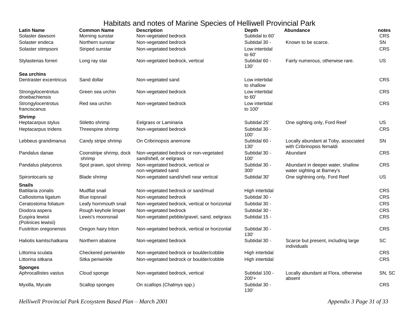| <b>Latin Name</b><br>Solaster dawsoni  | <b>Common Name</b><br>Morning sunstar | <b>Description</b><br>Non-vegetated bedrock                       | <b>Depth</b><br>Subtidal to 60' | Abundance                                                          | notes<br>CRS |
|----------------------------------------|---------------------------------------|-------------------------------------------------------------------|---------------------------------|--------------------------------------------------------------------|--------------|
| Solaster endeca                        | Northern sunstar                      | Non-vegetated bedrock                                             | Subtidal 30 -                   | Known to be scarce.                                                | <b>SN</b>    |
| Solaster stimpsoni                     | Striped sunstar                       | Non-vegetated bedrock                                             | Low intertidal<br>to 60'        |                                                                    | <b>CRS</b>   |
| Stylasterias forreri                   | Long ray star                         | Non-vegetated bedrock, vertical                                   | Subtidal 60 -<br>130'           | Fairly numerous, otherwise rare.                                   | US           |
| Sea urchins                            |                                       |                                                                   |                                 |                                                                    |              |
| Dentraster excentricus                 | Sand dollar                           | Non-vegetated sand                                                | Low intertidal<br>to shallow    |                                                                    | CRS          |
| Strongylocentrotus<br>droebachiensis   | Green sea urchin                      | Non-vegetated bedrock                                             | Low intertidal<br>to 60'        |                                                                    | <b>CRS</b>   |
| Strongylocentrotus<br>franciscanus     | Red sea urchin                        | Non-vegetated bedrock                                             | Low intertidal<br>to 100'       |                                                                    | CRS          |
| <b>Shrimp</b>                          |                                       |                                                                   |                                 |                                                                    |              |
| Heptacarpus stylus                     | Stiletto shrimp                       | Eelgrass or Laminaria                                             | Subtidal 25'                    | One sighting only, Ford Reef                                       | <b>US</b>    |
| Heptacarpus tridens                    | Threespine shrimp                     | Non-vegetated bedrock                                             | Subtidal 30 -<br>100'           |                                                                    | <b>CRS</b>   |
| Lebbeus grandimanus                    | Candy stripe shrimp                   | On Cribrinopsis anemone                                           | Subtidal 60 -<br>130'           | Locally abundant at Toby, associated<br>with Cribrinopsis fernaldi | <b>SN</b>    |
| Pandalus danae                         | Coonstripe shrimp, dock<br>shrimp     | Non-vegetated bedrock or non-vegetated<br>sand/shell, or eelgrass | Subtidal 30 -<br>100'           | Abundant                                                           | CRS          |
| Pandalus platyceros                    | Spot prawn, spot shrimp               | Non-vegetated bedrock, vertical or<br>non-vegetated sand          | Subtidal 30 -<br>300'           | Abundant in deeper water, shallow<br>water sighting at Barney's    | <b>CRS</b>   |
| Spirontocaris sp                       | Blade shrimp                          | Non-vegetated sand/shell near vertical                            | Subtidal 30'                    | One sightning only, Ford Reef                                      | US           |
| <b>Snails</b>                          |                                       |                                                                   |                                 |                                                                    |              |
| Battilaria zonalis                     | Mudflat snail                         | Non-vegetated bedrock or sand/mud                                 | High intertidal                 |                                                                    | <b>CRS</b>   |
| Calliostoma ligatum                    | Blue topsnail                         | Non-vegetated bedrock                                             | Subtidal 30 -                   |                                                                    | CRS          |
| Ceratostoma foliatum                   | Leafy hornmouth snail                 | Non-vegetated bedrock, vertical or horizontal                     | Subtidal 30 -                   |                                                                    | <b>CRS</b>   |
| Diodora aspera                         | Rough keyhole limpet                  | Non-vegetated bedrock                                             | Subtidal 30 -                   |                                                                    | CRS          |
| Euspira lewisii<br>(Polinices lewisii) | Lewis's moonsnail                     | Non-vegetated pebble/gravel, sand, eelgrass                       | Subtidal 15 -                   |                                                                    | CRS          |
| Fusitriton oregonensis                 | Oregon hairy triton                   | Non-vegetated bedrock, vertical or horizontal                     | Subtidal 30 -<br>130'           |                                                                    | CRS          |
| Haliotis kamtschatkana                 | Northern abalone                      | Non-vegetated bedrock                                             | Subtidal 30 -                   | Scarce but present, including large<br>individuals                 | SC           |
| Littorina sculata                      | Checkered periwinkle                  | Non-vegetated bedrock or boulder/cobble                           | High intertidal                 |                                                                    | <b>CRS</b>   |
| Littorina sitkana                      | Sitka periwinkle                      | Non-vegetated bedrock or boulder/cobble                           | High intertidal                 |                                                                    | <b>CRS</b>   |
| <b>Sponges</b>                         |                                       |                                                                   |                                 |                                                                    |              |
| Aphrocallistes vastus                  | Cloud sponge                          | Non-vegetated bedrock, vertical                                   | Subtidal 100 -<br>$200'+$       | Locally abundant at Flora, otherwise<br>absent                     | SN, SC       |
| Myxilla, Mycale                        | Scallop sponges                       | On scallops (Chalmys spp.)                                        | Subtidal 30 -<br>130'           |                                                                    | CRS          |

*Helliwell Provincial Park Ecosystem Based Plan – March 2001 Appendix 3 Page 31 of 33*